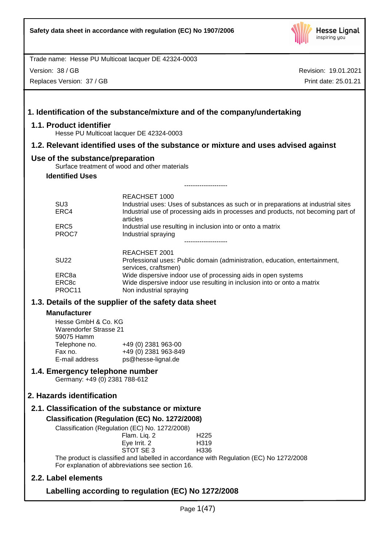

Version: 38 / GB

Replaces Version: 37 / GB

| 1.1. Product identifier          | Hesse PU Multicoat lacquer DE 42324-0003                                                                                                                                |
|----------------------------------|-------------------------------------------------------------------------------------------------------------------------------------------------------------------------|
|                                  | 1.2. Relevant identified uses of the substance or mixture and uses advised against                                                                                      |
| Use of the substance/preparation |                                                                                                                                                                         |
|                                  | Surface treatment of wood and other materials                                                                                                                           |
| <b>Identified Uses</b>           |                                                                                                                                                                         |
|                                  | -------------------                                                                                                                                                     |
| SU <sub>3</sub>                  | <b>REACHSET 1000</b>                                                                                                                                                    |
| ERC4                             | Industrial uses: Uses of substances as such or in preparations at industrial sites<br>Industrial use of processing aids in processes and products, not becoming part of |
|                                  | articles                                                                                                                                                                |
| ERC <sub>5</sub>                 | Industrial use resulting in inclusion into or onto a matrix                                                                                                             |
| PROC7                            | Industrial spraying                                                                                                                                                     |
|                                  |                                                                                                                                                                         |
|                                  | REACHSET 2001                                                                                                                                                           |
| <b>SU22</b>                      | Professional uses: Public domain (administration, education, entertainment,<br>services, craftsmen)                                                                     |
| ERC8a                            | Wide dispersive indoor use of processing aids in open systems                                                                                                           |
| ERC8c                            | Wide dispersive indoor use resulting in inclusion into or onto a matrix                                                                                                 |
| PROC11                           | Non industrial spraying                                                                                                                                                 |
|                                  | 1.3. Details of the supplier of the safety data sheet                                                                                                                   |
| <b>Manufacturer</b>              |                                                                                                                                                                         |
| Hesse GmbH & Co. KG              |                                                                                                                                                                         |
| <b>Warendorfer Strasse 21</b>    |                                                                                                                                                                         |
| 59075 Hamm                       |                                                                                                                                                                         |
| Telephone no.                    | +49 (0) 2381 963-00                                                                                                                                                     |
| Fax no.                          | +49 (0) 2381 963-849                                                                                                                                                    |
| E-mail address                   | ps@hesse-lignal.de                                                                                                                                                      |
| 1.4. Emergency telephone number  |                                                                                                                                                                         |
| Germany: +49 (0) 2381 788-612    |                                                                                                                                                                         |
| 2. Hazards identification        |                                                                                                                                                                         |
|                                  | 2.1. Classification of the substance or mixture                                                                                                                         |
|                                  | Classification (Regulation (EC) No. 1272/2008)                                                                                                                          |
|                                  | Classification (Regulation (EC) No. 1272/2008)                                                                                                                          |
|                                  | Flam. Liq. 2<br>H <sub>225</sub>                                                                                                                                        |
|                                  | Eye Irrit. 2<br>H319                                                                                                                                                    |
|                                  | STOT SE 3<br>H336                                                                                                                                                       |
|                                  | The product is classified and labelled in accordance with Regulation (EC) No 1272/2008                                                                                  |
|                                  | For explanation of abbreviations see section 16.                                                                                                                        |
| 2.2. Label elements              |                                                                                                                                                                         |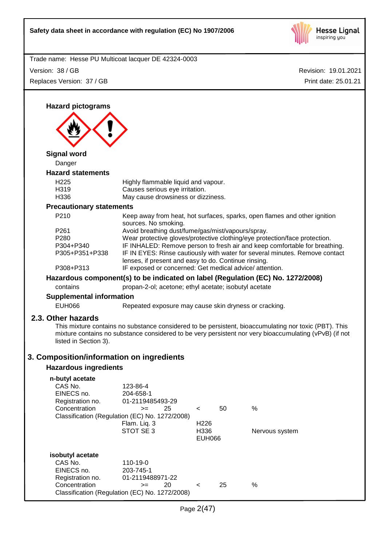

Revision: 19.01.2021 Trade name: Hesse PU Multicoat lacquer DE 42324-0003 Print date: 25.01.21 Version: 38 / GB Replaces Version: 37 / GB **Hazard pictograms Signal word** Danger **Hazard statements** H225 Highly flammable liquid and vapour. H319 Causes serious eye irritation. H336 May cause drowsiness or dizziness. **Precautionary statements** P210 Keep away from heat, hot surfaces, sparks, open flames and other ignition sources. No smoking. P261 Avoid breathing dust/fume/gas/mist/vapours/spray. P280 Wear protective gloves/protective clothing/eye protection/face protection. P304+P340 IF INHALED: Remove person to fresh air and keep comfortable for breathing. P305+P351+P338 IF IN EYES: Rinse cautiously with water for several minutes. Remove contact lenses, if present and easy to do. Continue rinsing. P308+P313 IF exposed or concerned: Get medical advice/ attention. **Hazardous component(s) to be indicated on label (Regulation (EC) No. 1272/2008)** contains propan-2-ol; acetone; ethyl acetate; isobutyl acetate **Supplemental information** EUH066 Repeated exposure may cause skin dryness or cracking. **2.3. Other hazards** This mixture contains no substance considered to be persistent, bioaccumulating nor toxic (PBT). This mixture contains no substance considered to be very persistent nor very bioaccumulating (vPvB) (if not listed in Section 3). **3. Composition/information on ingredients Hazardous ingredients n-butyl acetate** 123-86-4<br>204-658-1 EINECS no.<br>Registration no. 01-2119485493-29 Concentration  $\rightarrow$  25 < 50 % Classification (Regulation (EC) No. 1272/2008) Flam. Liq. 3 H226 STOT SE 3 H336 Nervous system EUH066 **isobutyl acetate** CAS No. 110-19-0 EINECS no. 203-745-1 Registration no. 01-2119488971-22 Concentration  $\rightarrow$  20 < 25 % Classification (Regulation (EC) No. 1272/2008)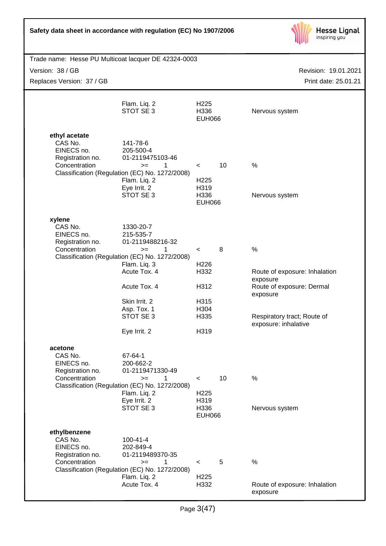

| Trade name: Hesse PU Multicoat lacquer DE 42324-0003                         |                  |                                                     |
|------------------------------------------------------------------------------|------------------|-----------------------------------------------------|
| Version: 38 / GB                                                             |                  | Revision: 19.01.2021                                |
| Replaces Version: 37 / GB                                                    |                  | Print date: 25.01.21                                |
|                                                                              |                  |                                                     |
| Flam. Liq. 2                                                                 | H <sub>225</sub> |                                                     |
| STOT SE 3                                                                    | H336             | Nervous system                                      |
|                                                                              | <b>EUH066</b>    |                                                     |
|                                                                              |                  |                                                     |
| ethyl acetate                                                                |                  |                                                     |
| CAS No.<br>141-78-6<br>EINECS no.<br>205-500-4                               |                  |                                                     |
| 01-2119475103-46<br>Registration no.                                         |                  |                                                     |
| Concentration<br>1<br>$>=$                                                   | 10<br>$\lt$      | %                                                   |
| Classification (Regulation (EC) No. 1272/2008)<br>Flam. Liq. 2               | H <sub>225</sub> |                                                     |
| Eye Irrit. 2                                                                 | H319             |                                                     |
| STOT SE 3                                                                    | H336             | Nervous system                                      |
|                                                                              | <b>EUH066</b>    |                                                     |
|                                                                              |                  |                                                     |
| xylene<br>CAS No.<br>1330-20-7                                               |                  |                                                     |
| EINECS no.<br>215-535-7                                                      |                  |                                                     |
| 01-2119488216-32<br>Registration no.                                         |                  |                                                     |
| Concentration<br>1<br>$>=$<br>Classification (Regulation (EC) No. 1272/2008) | 8<br>$\prec$     | %                                                   |
| Flam. Liq. 3                                                                 | H <sub>226</sub> |                                                     |
| Acute Tox. 4                                                                 | H332             | Route of exposure: Inhalation                       |
| Acute Tox. 4                                                                 | H312             | exposure<br>Route of exposure: Dermal               |
|                                                                              |                  | exposure                                            |
| Skin Irrit. 2                                                                | H315             |                                                     |
| Asp. Tox. 1<br>STOT SE 3                                                     | H304             |                                                     |
|                                                                              | H335             | Respiratory tract; Route of<br>exposure: inhalative |
| Eye Irrit. 2                                                                 | H319             |                                                     |
|                                                                              |                  |                                                     |
| acetone                                                                      |                  |                                                     |
| CAS No.<br>67-64-1<br>EINECS no.<br>200-662-2                                |                  |                                                     |
| 01-2119471330-49<br>Registration no.                                         |                  |                                                     |
| Concentration<br>1<br>$>=$                                                   | $\prec$          | 10<br>%                                             |
| Classification (Regulation (EC) No. 1272/2008)<br>Flam. Liq. 2               | H <sub>225</sub> |                                                     |
| Eye Irrit. 2                                                                 | H319             |                                                     |
| STOT SE 3                                                                    | H336             | Nervous system                                      |
|                                                                              | <b>EUH066</b>    |                                                     |
| ethylbenzene                                                                 |                  |                                                     |
| CAS No.<br>$100 - 41 - 4$                                                    |                  |                                                     |
| EINECS no.<br>202-849-4                                                      |                  |                                                     |
| Registration no.<br>01-2119489370-35<br>Concentration                        |                  |                                                     |
| 1<br>$>=$<br>Classification (Regulation (EC) No. 1272/2008)                  | 5<br>$\prec$     | $\%$                                                |
| Flam. Liq. 2                                                                 | H <sub>225</sub> |                                                     |
| Acute Tox. 4                                                                 | H332             | Route of exposure: Inhalation                       |
|                                                                              |                  | exposure                                            |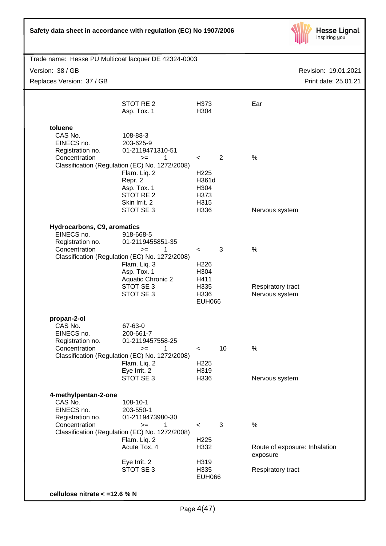

| Trade name: Hesse PU Multicoat lacquer DE 42324-0003<br>Version: 38 / GB<br>Replaces Version: 37 / GB |                                                                                                                                                                                             |                                                                              |    | Revision: 19.01.2021<br>Print date: 25.01.21   |
|-------------------------------------------------------------------------------------------------------|---------------------------------------------------------------------------------------------------------------------------------------------------------------------------------------------|------------------------------------------------------------------------------|----|------------------------------------------------|
|                                                                                                       | STOT RE 2<br>Asp. Tox. 1                                                                                                                                                                    | H373<br>H304                                                                 |    | Ear                                            |
| toluene<br>CAS No.<br>EINECS no.<br>Registration no.<br>Concentration                                 | 108-88-3<br>203-625-9<br>01-2119471310-51<br>1<br>$>=$<br>Classification (Regulation (EC) No. 1272/2008)<br>Flam. Liq. 2<br>Repr. 2<br>Asp. Tox. 1<br>STOT RE <sub>2</sub><br>Skin Irrit. 2 | $\lt$<br>H <sub>225</sub><br>H361d<br>H304<br>H373<br>H315                   | 2  | %                                              |
|                                                                                                       | STOT SE 3                                                                                                                                                                                   | H336                                                                         |    | Nervous system                                 |
| Hydrocarbons, C9, aromatics<br>EINECS no.<br>Registration no.<br>Concentration                        | 918-668-5<br>01-2119455851-35<br>1<br>$>=$<br>Classification (Regulation (EC) No. 1272/2008)<br>Flam. Liq. 3<br>Asp. Tox. 1<br><b>Aquatic Chronic 2</b><br>STOT SE 3<br>STOT SE 3           | $\prec$<br>H <sub>226</sub><br>H304<br>H411<br>H335<br>H336<br><b>EUH066</b> | 3  | %<br>Respiratory tract<br>Nervous system       |
| propan-2-ol<br>CAS No.<br>EINECS no.<br>Registration no.<br>Concentration                             | 67-63-0<br>200-661-7<br>01-2119457558-25<br>1<br>$>=$<br>Classification (Regulation (EC) No. 1272/2008)<br>Flam. Liq. 2<br>Eye Irrit. 2<br>STOT SE 3                                        | $\,<\,$<br>H <sub>225</sub><br>H319<br>H336                                  | 10 | %<br>Nervous system                            |
| 4-methylpentan-2-one<br>CAS No.<br>EINECS no.<br>Registration no.<br>Concentration                    | 108-10-1<br>203-550-1<br>01-2119473980-30<br>1<br>$>=$<br>Classification (Regulation (EC) No. 1272/2008)<br>Flam. Liq. 2<br>Acute Tox. 4                                                    | $\,<\,$<br>H <sub>225</sub><br>H332                                          | 3  | %<br>Route of exposure: Inhalation<br>exposure |
|                                                                                                       | Eye Irrit. 2<br>STOT SE 3                                                                                                                                                                   | H319<br>H335<br><b>EUH066</b>                                                |    | Respiratory tract                              |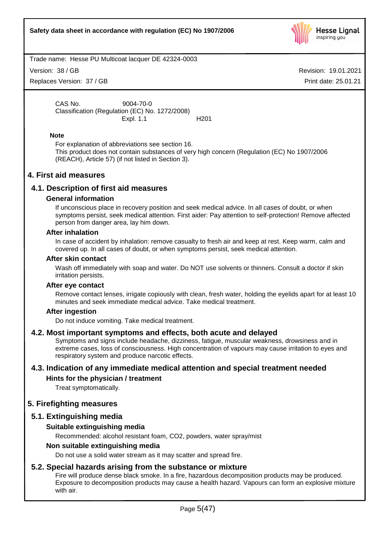

Version: 38 / GB

Replaces Version: 37 / GB

Revision: 19.01.2021 Print date: 25.01.21

CAS No. 9004-70-0 Classification (Regulation (EC) No. 1272/2008) Expl. 1.1 H201

### **Note**

For explanation of abbreviations see section 16. This product does not contain substances of very high concern (Regulation (EC) No 1907/2006 (REACH), Article 57) (if not listed in Section 3).

# **4. First aid measures**

# **4.1. Description of first aid measures**

#### **General information**

If unconscious place in recovery position and seek medical advice. In all cases of doubt, or when symptoms persist, seek medical attention. First aider: Pay attention to self-protection! Remove affected person from danger area, lay him down.

#### **After inhalation**

In case of accident by inhalation: remove casualty to fresh air and keep at rest. Keep warm, calm and covered up. In all cases of doubt, or when symptoms persist, seek medical attention.

#### **After skin contact**

Wash off immediately with soap and water. Do NOT use solvents or thinners. Consult a doctor if skin irritation persists.

# **After eye contact**

Remove contact lenses, irrigate copiously with clean, fresh water, holding the eyelids apart for at least 10 minutes and seek immediate medical advice. Take medical treatment.

# **After ingestion**

Do not induce vomiting. Take medical treatment.

# **4.2. Most important symptoms and effects, both acute and delayed**

Symptoms and signs include headache, dizziness, fatigue, muscular weakness, drowsiness and in extreme cases, loss of consciousness. High concentration of vapours may cause irritation to eyes and respiratory system and produce narcotic effects.

# **4.3. Indication of any immediate medical attention and special treatment needed**

# **Hints for the physician / treatment**

Treat symptomatically.

# **5. Firefighting measures**

# **5.1. Extinguishing media**

# **Suitable extinguishing media**

Recommended: alcohol resistant foam, CO2, powders, water spray/mist

# **Non suitable extinguishing media**

Do not use a solid water stream as it may scatter and spread fire.

# **5.2. Special hazards arising from the substance or mixture**

Fire will produce dense black smoke. In a fire, hazardous decomposition products may be produced. Exposure to decomposition products may cause a health hazard. Vapours can form an explosive mixture with air.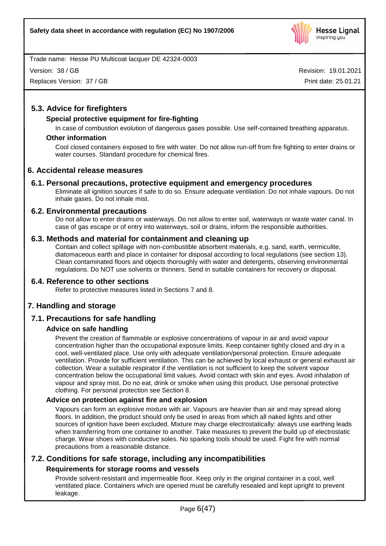

Version: 38 / GB

Replaces Version: 37 / GB

Revision: 19.01.2021 Print date: 25.01.21

# **5.3. Advice for firefighters**

# **Special protective equipment for fire-fighting**

In case of combustion evolution of dangerous gases possible. Use self-contained breathing apparatus.

# **Other information**

Cool closed containers exposed to fire with water. Do not allow run-off from fire fighting to enter drains or water courses. Standard procedure for chemical fires.

# **6. Accidental release measures**

# **6.1. Personal precautions, protective equipment and emergency procedures**

Eliminate all ignition sources if safe to do so. Ensure adequate ventilation. Do not inhale vapours. Do not inhale gases. Do not inhale mist.

# **6.2. Environmental precautions**

Do not allow to enter drains or waterways. Do not allow to enter soil, waterways or waste water canal. In case of gas escape or of entry into waterways, soil or drains, inform the responsible authorities.

# **6.3. Methods and material for containment and cleaning up**

Contain and collect spillage with non-combustible absorbent materials, e.g. sand, earth, vermiculite, diatomaceous earth and place in container for disposal according to local regulations (see section 13). Clean contaminated floors and objects thoroughly with water and detergents, observing environmental regulations. Do NOT use solvents or thinners. Send in suitable containers for recovery or disposal.

# **6.4. Reference to other sections**

Refer to protective measures listed in Sections 7 and 8.

# **7. Handling and storage**

# **7.1. Precautions for safe handling**

# **Advice on safe handling**

Prevent the creation of flammable or explosive concentrations of vapour in air and avoid vapour concentration higher than the occupational exposure limits. Keep container tightly closed and dry in a cool, well-ventilated place. Use only with adequate ventilation/personal protection. Ensure adequate ventilation. Provide for sufficient ventilation. This can be achieved by local exhaust or general exhaust air collection. Wear a suitable respirator if the ventilation is not sufficient to keep the solvent vapour concentration below the occupational limit values. Avoid contact with skin and eyes. Avoid inhalation of vapour and spray mist. Do no eat, drink or smoke when using this product. Use personal protective clothing. For personal protection see Section 8.

# **Advice on protection against fire and explosion**

Vapours can form an explosive mixture with air. Vapours are heavier than air and may spread along floors. In addition, the product should only be used in areas from which all naked lights and other sources of ignition have been excluded. Mixture may charge electrostatically: always use earthing leads when transferring from one container to another. Take measures to prevent the build up of electrostatic charge. Wear shoes with conductive soles. No sparking tools should be used. Fight fire with normal precautions from a reasonable distance.

# **7.2. Conditions for safe storage, including any incompatibilities**

# **Requirements for storage rooms and vessels**

Provide solvent-resistant and impermeable floor. Keep only in the original container in a cool, well ventilated place. Containers which are opened must be carefully resealed and kept upright to prevent leakage.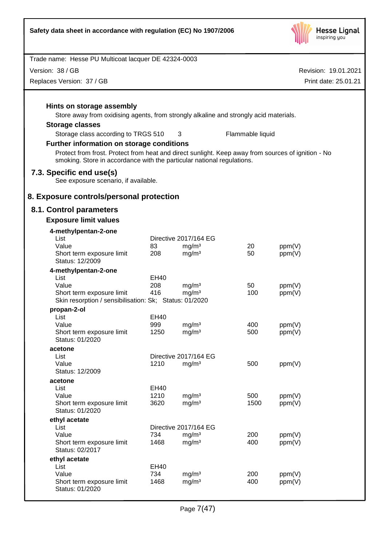

| Trade name: Hesse PU Multicoat lacquer DE 42324-0003                                                                                                                         |             |                                            |                  |                      |
|------------------------------------------------------------------------------------------------------------------------------------------------------------------------------|-------------|--------------------------------------------|------------------|----------------------|
| Version: 38 / GB                                                                                                                                                             |             |                                            |                  | Revision: 19.01.2021 |
| Replaces Version: 37 / GB                                                                                                                                                    |             |                                            |                  | Print date: 25.01.21 |
|                                                                                                                                                                              |             |                                            |                  |                      |
| Hints on storage assembly                                                                                                                                                    |             |                                            |                  |                      |
| Store away from oxidising agents, from strongly alkaline and strongly acid materials.                                                                                        |             |                                            |                  |                      |
| <b>Storage classes</b>                                                                                                                                                       |             |                                            |                  |                      |
| Storage class according to TRGS 510                                                                                                                                          |             | 3                                          | Flammable liquid |                      |
| Further information on storage conditions                                                                                                                                    |             |                                            |                  |                      |
| Protect from frost. Protect from heat and direct sunlight. Keep away from sources of ignition - No<br>smoking. Store in accordance with the particular national regulations. |             |                                            |                  |                      |
| 7.3. Specific end use(s)<br>See exposure scenario, if available.                                                                                                             |             |                                            |                  |                      |
| 8. Exposure controls/personal protection                                                                                                                                     |             |                                            |                  |                      |
| 8.1. Control parameters                                                                                                                                                      |             |                                            |                  |                      |
| <b>Exposure limit values</b>                                                                                                                                                 |             |                                            |                  |                      |
| 4-methylpentan-2-one                                                                                                                                                         |             |                                            |                  |                      |
| List                                                                                                                                                                         |             | Directive 2017/164 EG                      |                  |                      |
| Value<br>Short term exposure limit                                                                                                                                           | 83<br>208   | mg/m <sup>3</sup><br>mg/m <sup>3</sup>     | 20<br>50         | ppm(V)<br>ppm(V)     |
| Status: 12/2009                                                                                                                                                              |             |                                            |                  |                      |
| 4-methylpentan-2-one                                                                                                                                                         |             |                                            |                  |                      |
| List                                                                                                                                                                         | EH40        |                                            |                  |                      |
| Value<br>Short term exposure limit                                                                                                                                           | 208<br>416  | mg/m <sup>3</sup><br>mg/m <sup>3</sup>     | 50<br>100        | ppm(V)<br>ppm(V)     |
| Skin resorption / sensibilisation: Sk; Status: 01/2020                                                                                                                       |             |                                            |                  |                      |
| propan-2-ol                                                                                                                                                                  |             |                                            |                  |                      |
| List                                                                                                                                                                         | EH40        |                                            |                  |                      |
| Value<br>Short term exposure limit                                                                                                                                           | 999<br>1250 | mg/m <sup>3</sup><br>mg/m <sup>3</sup>     | 400<br>500       | ppm(V)               |
| Status: 01/2020                                                                                                                                                              |             |                                            |                  | ppm(V)               |
| acetone                                                                                                                                                                      |             |                                            |                  |                      |
| List<br>Value                                                                                                                                                                | 1210        | Directive 2017/164 EG<br>mg/m <sup>3</sup> | 500              | ppm(V)               |
| Status: 12/2009                                                                                                                                                              |             |                                            |                  |                      |
| acetone                                                                                                                                                                      |             |                                            |                  |                      |
| List                                                                                                                                                                         | EH40        |                                            |                  |                      |
| Value                                                                                                                                                                        | 1210        | mg/m <sup>3</sup>                          | 500              | ppm(V)               |
| Short term exposure limit<br>Status: 01/2020                                                                                                                                 | 3620        | mg/m <sup>3</sup>                          | 1500             | ppm(V)               |
| ethyl acetate                                                                                                                                                                |             |                                            |                  |                      |
| List                                                                                                                                                                         |             | Directive 2017/164 EG                      |                  |                      |
| Value                                                                                                                                                                        | 734         | mg/m <sup>3</sup>                          | 200              | ppm(V)               |
| Short term exposure limit<br>Status: 02/2017                                                                                                                                 | 1468        | mg/m <sup>3</sup>                          | 400              | ppm(V)               |
| ethyl acetate                                                                                                                                                                |             |                                            |                  |                      |
| List                                                                                                                                                                         | EH40        |                                            |                  |                      |
| Value                                                                                                                                                                        | 734         | mg/m <sup>3</sup>                          | 200              | ppm(V)               |
| Short term exposure limit<br>Status: 01/2020                                                                                                                                 | 1468        | mg/m <sup>3</sup>                          | 400              | ppm(V)               |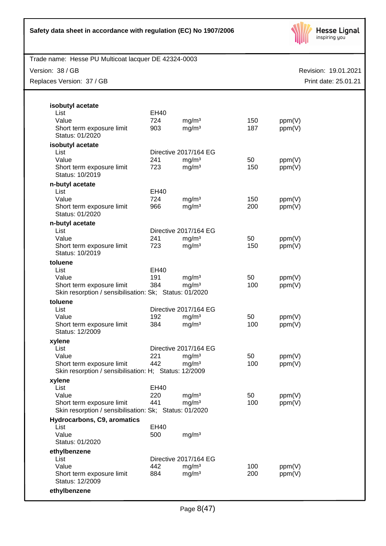

Trade name: Hesse PU Multicoat lacquer DE 42324-0003

Version: 38 / GB

Replaces Version: 37 / GB

| Revision: 19.01.2021 |
|----------------------|
| Print date: 25.01.21 |
|                      |
|                      |
|                      |

| isobutyl acetate                                                                    |             |                       |     |        |
|-------------------------------------------------------------------------------------|-------------|-----------------------|-----|--------|
| List                                                                                | <b>EH40</b> |                       |     |        |
| Value                                                                               | 724         | mg/m <sup>3</sup>     | 150 | ppm(V) |
| Short term exposure limit<br>Status: 01/2020                                        | 903         | mg/m <sup>3</sup>     | 187 | ppm(V) |
| isobutyl acetate                                                                    |             |                       |     |        |
| List                                                                                |             | Directive 2017/164 EG |     |        |
| Value                                                                               | 241         | mg/m <sup>3</sup>     | 50  | ppm(V) |
| Short term exposure limit<br>Status: 10/2019                                        | 723         | mg/m <sup>3</sup>     | 150 | ppm(V) |
| n-butyl acetate                                                                     |             |                       |     |        |
| List                                                                                | EH40        |                       |     |        |
| Value                                                                               | 724         | mg/m <sup>3</sup>     | 150 | ppm(V) |
| Short term exposure limit<br>Status: 01/2020                                        | 966         | mg/m <sup>3</sup>     | 200 | ppm(V) |
| n-butyl acetate                                                                     |             |                       |     |        |
| List                                                                                |             | Directive 2017/164 EG |     |        |
| Value                                                                               | 241         | mg/m <sup>3</sup>     | 50  | ppm(V) |
| Short term exposure limit<br>Status: 10/2019                                        | 723         | mg/m <sup>3</sup>     | 150 | ppm(V) |
| toluene                                                                             |             |                       |     |        |
| List                                                                                | EH40        |                       |     |        |
| Value                                                                               | 191         | mg/m <sup>3</sup>     | 50  | ppm(V) |
| Short term exposure limit<br>Skin resorption / sensibilisation: Sk; Status: 01/2020 | 384         | mg/m <sup>3</sup>     | 100 | ppm(V) |
| toluene                                                                             |             |                       |     |        |
| List                                                                                |             | Directive 2017/164 EG |     |        |
| Value                                                                               | 192         | mg/m <sup>3</sup>     | 50  | ppm(V) |
| Short term exposure limit<br>Status: 12/2009                                        | 384         | mg/m <sup>3</sup>     | 100 | ppm(V) |
| xylene                                                                              |             |                       |     |        |
| List                                                                                |             | Directive 2017/164 EG |     |        |
| Value                                                                               | 221         | mg/m <sup>3</sup>     | 50  | ppm(V) |
| Short term exposure limit                                                           | 442         | mg/m <sup>3</sup>     | 100 | ppm(V) |
| Skin resorption / sensibilisation: H; Status: 12/2009                               |             |                       |     |        |
| xylene                                                                              |             |                       |     |        |
| List                                                                                | <b>EH40</b> |                       |     |        |
| Value                                                                               | 220         | mg/m <sup>3</sup>     | 50  | ppm(V) |
| Short term exposure limit<br>Skin resorption / sensibilisation: Sk; Status: 01/2020 | 441         | mg/m <sup>3</sup>     | 100 | ppm(V) |
| Hydrocarbons, C9, aromatics                                                         |             |                       |     |        |
| List                                                                                | EH40        |                       |     |        |
| Value<br>Status: 01/2020                                                            | 500         | mg/m <sup>3</sup>     |     |        |
| ethylbenzene                                                                        |             |                       |     |        |
| List                                                                                |             | Directive 2017/164 EG |     |        |
| Value                                                                               | 442         | mg/m <sup>3</sup>     | 100 | ppm(V) |
| Short term exposure limit<br>Status: 12/2009                                        | 884         | mg/m <sup>3</sup>     | 200 | ppm(V) |
| ethylbenzene                                                                        |             |                       |     |        |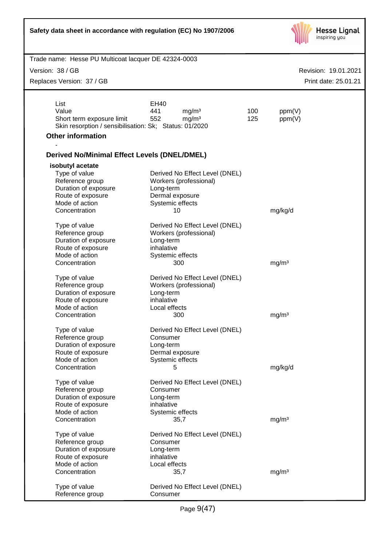| Safety data sheet in accordance with regulation (EC) No 1907/2006                                                                                                                                                     |                                                                                                                                                                                                           |            | <b>Hesse Lignal</b><br>inspiring you |                      |
|-----------------------------------------------------------------------------------------------------------------------------------------------------------------------------------------------------------------------|-----------------------------------------------------------------------------------------------------------------------------------------------------------------------------------------------------------|------------|--------------------------------------|----------------------|
| Trade name: Hesse PU Multicoat lacquer DE 42324-0003                                                                                                                                                                  |                                                                                                                                                                                                           |            |                                      |                      |
| Version: 38 / GB                                                                                                                                                                                                      |                                                                                                                                                                                                           |            |                                      | Revision: 19.01.2021 |
| Replaces Version: 37 / GB                                                                                                                                                                                             |                                                                                                                                                                                                           |            |                                      | Print date: 25.01.21 |
|                                                                                                                                                                                                                       |                                                                                                                                                                                                           |            |                                      |                      |
| List<br>Value<br>Short term exposure limit<br>Skin resorption / sensibilisation: Sk; Status: 01/2020                                                                                                                  | EH40<br>441<br>mg/m <sup>3</sup><br>552<br>mg/m <sup>3</sup>                                                                                                                                              | 100<br>125 | ppm(V)<br>ppm(V)                     |                      |
| <b>Other information</b>                                                                                                                                                                                              |                                                                                                                                                                                                           |            |                                      |                      |
| <b>Derived No/Minimal Effect Levels (DNEL/DMEL)</b>                                                                                                                                                                   |                                                                                                                                                                                                           |            |                                      |                      |
| isobutyl acetate<br>Type of value<br>Reference group<br>Duration of exposure<br>Route of exposure<br>Mode of action<br>Concentration<br>Type of value<br>Reference group<br>Duration of exposure<br>Route of exposure | Derived No Effect Level (DNEL)<br>Workers (professional)<br>Long-term<br>Dermal exposure<br>Systemic effects<br>10<br>Derived No Effect Level (DNEL)<br>Workers (professional)<br>Long-term<br>inhalative |            | mg/kg/d                              |                      |
| Mode of action<br>Concentration                                                                                                                                                                                       | Systemic effects<br>300                                                                                                                                                                                   |            | mg/m <sup>3</sup>                    |                      |
| Type of value<br>Reference group<br>Duration of exposure<br>Route of exposure<br>Mode of action<br>Concentration                                                                                                      | Derived No Effect Level (DNEL)<br>Workers (professional)<br>Long-term<br>inhalative<br>Local effects<br>300                                                                                               |            | mg/m <sup>3</sup>                    |                      |
| Type of value<br>Reference group<br>Duration of exposure<br>Route of exposure<br>Mode of action<br>Concentration                                                                                                      | Derived No Effect Level (DNEL)<br>Consumer<br>Long-term<br>Dermal exposure<br>Systemic effects<br>5                                                                                                       |            | mg/kg/d                              |                      |
| Type of value<br>Reference group<br>Duration of exposure<br>Route of exposure<br>Mode of action<br>Concentration                                                                                                      | Derived No Effect Level (DNEL)<br>Consumer<br>Long-term<br>inhalative<br>Systemic effects<br>35,7                                                                                                         |            | mg/m <sup>3</sup>                    |                      |
| Type of value<br>Reference group<br>Duration of exposure<br>Route of exposure<br>Mode of action<br>Concentration<br>Type of value<br>Reference group                                                                  | Derived No Effect Level (DNEL)<br>Consumer<br>Long-term<br>inhalative<br>Local effects<br>35,7<br>Derived No Effect Level (DNEL)<br>Consumer                                                              |            | mg/m <sup>3</sup>                    |                      |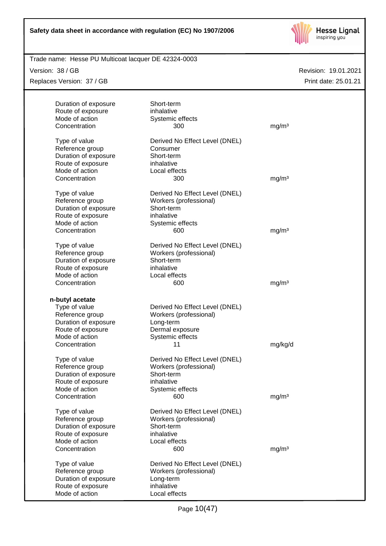

Trade name: Hesse PU Multicoat lacquer DE 42324-0003

Version: 38 / GB Replaces Version: 37 / GB

| Duration of exposure<br>Route of exposure<br>Mode of action                                                      | Short-term<br>inhalative<br>Systemic effects                                                                    |                   |
|------------------------------------------------------------------------------------------------------------------|-----------------------------------------------------------------------------------------------------------------|-------------------|
| Concentration                                                                                                    | 300                                                                                                             | mg/m <sup>3</sup> |
| Type of value<br>Reference group<br>Duration of exposure<br>Route of exposure<br>Mode of action<br>Concentration | Derived No Effect Level (DNEL)<br>Consumer<br>Short-term<br>inhalative<br>Local effects<br>300                  | mg/m <sup>3</sup> |
|                                                                                                                  |                                                                                                                 |                   |
| Type of value<br>Reference group<br>Duration of exposure<br>Route of exposure<br>Mode of action                  | Derived No Effect Level (DNEL)<br>Workers (professional)<br>Short-term<br>inhalative<br>Systemic effects        |                   |
| Concentration                                                                                                    | 600                                                                                                             | mg/m <sup>3</sup> |
| Type of value<br>Reference group<br>Duration of exposure<br>Route of exposure<br>Mode of action                  | Derived No Effect Level (DNEL)<br>Workers (professional)<br>Short-term<br>inhalative<br>Local effects           |                   |
| Concentration                                                                                                    | 600                                                                                                             | mg/m <sup>3</sup> |
| n-butyl acetate                                                                                                  |                                                                                                                 |                   |
| Type of value<br>Reference group<br>Duration of exposure<br>Route of exposure<br>Mode of action                  | Derived No Effect Level (DNEL)<br>Workers (professional)<br>Long-term<br>Dermal exposure<br>Systemic effects    |                   |
| Concentration                                                                                                    | 11                                                                                                              | mg/kg/d           |
| Type of value<br>Reference group<br>Duration of exposure<br>Route of exposure<br>Mode of action<br>Concentration | Derived No Effect Level (DNEL)<br>Workers (professional)<br>Short-term<br>inhalative<br>Systemic effects<br>600 | mg/m <sup>3</sup> |
|                                                                                                                  |                                                                                                                 |                   |
| Type of value<br>Reference group<br>Duration of exposure<br>Route of exposure<br>Mode of action<br>Concentration | Derived No Effect Level (DNEL)<br>Workers (professional)<br>Short-term<br>inhalative<br>Local effects           |                   |
|                                                                                                                  | 600                                                                                                             | mg/m <sup>3</sup> |
| Type of value<br>Reference group<br>Duration of exposure<br>Route of exposure<br>Mode of action                  | Derived No Effect Level (DNEL)<br>Workers (professional)<br>Long-term<br>inhalative<br>Local effects            |                   |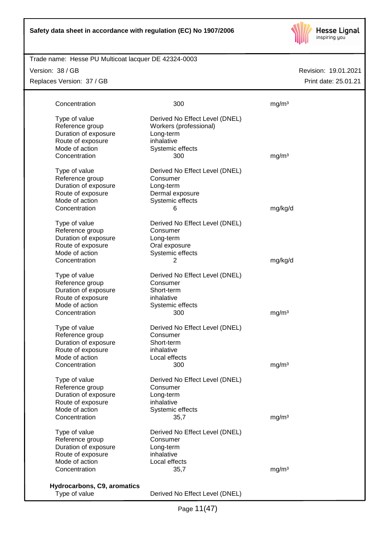

# Trade name: Hesse PU Multicoat lacquer DE 42324-0003

Version: 38 / GB

Replaces Version: 37 / GB

| Concentration               | 300                            | mg/m <sup>3</sup> |
|-----------------------------|--------------------------------|-------------------|
| Type of value               | Derived No Effect Level (DNEL) |                   |
| Reference group             | Workers (professional)         |                   |
|                             |                                |                   |
| Duration of exposure        | Long-term                      |                   |
| Route of exposure           | inhalative                     |                   |
| Mode of action              | Systemic effects               |                   |
| Concentration               | 300                            | mg/m <sup>3</sup> |
| Type of value               | Derived No Effect Level (DNEL) |                   |
| Reference group             | Consumer                       |                   |
| Duration of exposure        | Long-term                      |                   |
| Route of exposure           | Dermal exposure                |                   |
| Mode of action              | Systemic effects               |                   |
| Concentration               | 6                              | mg/kg/d           |
|                             |                                |                   |
| Type of value               | Derived No Effect Level (DNEL) |                   |
| Reference group             | Consumer                       |                   |
| Duration of exposure        | Long-term                      |                   |
| Route of exposure           | Oral exposure                  |                   |
| Mode of action              | Systemic effects               |                   |
| Concentration               | 2                              | mg/kg/d           |
|                             |                                |                   |
| Type of value               | Derived No Effect Level (DNEL) |                   |
| Reference group             | Consumer                       |                   |
| Duration of exposure        | Short-term                     |                   |
| Route of exposure           | inhalative                     |                   |
| Mode of action              | Systemic effects               |                   |
| Concentration               | 300                            | mg/m <sup>3</sup> |
|                             |                                |                   |
| Type of value               | Derived No Effect Level (DNEL) |                   |
| Reference group             | Consumer                       |                   |
| Duration of exposure        | Short-term                     |                   |
| Route of exposure           | inhalative                     |                   |
| Mode of action              | Local effects                  |                   |
| Concentration               | 300                            | mg/m <sup>3</sup> |
|                             |                                |                   |
| Type of value               | Derived No Effect Level (DNEL) |                   |
| Reference group             | Consumer                       |                   |
| Duration of exposure        | Long-term                      |                   |
| Route of exposure           | inhalative                     |                   |
| Mode of action              | Systemic effects               |                   |
| Concentration               | 35,7                           | mg/m <sup>3</sup> |
|                             |                                |                   |
| Type of value               | Derived No Effect Level (DNEL) |                   |
| Reference group             | Consumer                       |                   |
| Duration of exposure        | Long-term                      |                   |
| Route of exposure           | inhalative                     |                   |
| Mode of action              | Local effects                  |                   |
| Concentration               | 35,7                           | mg/m <sup>3</sup> |
|                             |                                |                   |
| Hydrocarbons, C9, aromatics |                                |                   |
| Type of value               | Derived No Effect Level (DNEL) |                   |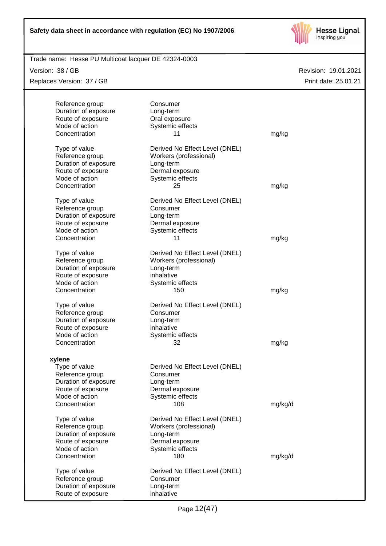

Trade name: Hesse PU Multicoat lacquer DE 42324-0003

Version: 38 / GB

Replaces Version: 37 / GB

|                      | Consumer                       |         |
|----------------------|--------------------------------|---------|
| Reference group      |                                |         |
| Duration of exposure | Long-term                      |         |
| Route of exposure    | Oral exposure                  |         |
| Mode of action       | Systemic effects               |         |
| Concentration        | 11                             | mg/kg   |
|                      |                                |         |
| Type of value        | Derived No Effect Level (DNEL) |         |
| Reference group      | Workers (professional)         |         |
| Duration of exposure | Long-term                      |         |
| Route of exposure    | Dermal exposure                |         |
| Mode of action       | Systemic effects               |         |
| Concentration        | 25                             | mg/kg   |
|                      |                                |         |
| Type of value        | Derived No Effect Level (DNEL) |         |
|                      | Consumer                       |         |
| Reference group      |                                |         |
| Duration of exposure | Long-term                      |         |
| Route of exposure    | Dermal exposure                |         |
| Mode of action       | Systemic effects               |         |
| Concentration        | 11                             | mg/kg   |
|                      |                                |         |
| Type of value        | Derived No Effect Level (DNEL) |         |
| Reference group      | Workers (professional)         |         |
| Duration of exposure | Long-term                      |         |
| Route of exposure    | inhalative                     |         |
| Mode of action       | Systemic effects               |         |
| Concentration        | 150                            | mg/kg   |
|                      |                                |         |
| Type of value        | Derived No Effect Level (DNEL) |         |
| Reference group      | Consumer                       |         |
|                      |                                |         |
| Duration of exposure | Long-term                      |         |
| Route of exposure    | inhalative                     |         |
| Mode of action       | Systemic effects               |         |
| Concentration        | 32                             | mg/kg   |
|                      |                                |         |
| xylene               |                                |         |
| Type of value        | Derived No Effect Level (DNEL) |         |
| Reference group      | Consumer                       |         |
| Duration of exposure | Long-term                      |         |
| Route of exposure    | Dermal exposure                |         |
| Mode of action       | Systemic effects               |         |
| Concentration        | 108                            | mg/kg/d |
|                      |                                |         |
| Type of value        | Derived No Effect Level (DNEL) |         |
| Reference group      | Workers (professional)         |         |
| Duration of exposure | Long-term                      |         |
| Route of exposure    | Dermal exposure                |         |
| Mode of action       | Systemic effects               |         |
| Concentration        |                                |         |
|                      | 180                            | mg/kg/d |
|                      |                                |         |
| Type of value        | Derived No Effect Level (DNEL) |         |
| Reference group      | Consumer                       |         |
| Duration of exposure | Long-term                      |         |
| Route of exposure    | inhalative                     |         |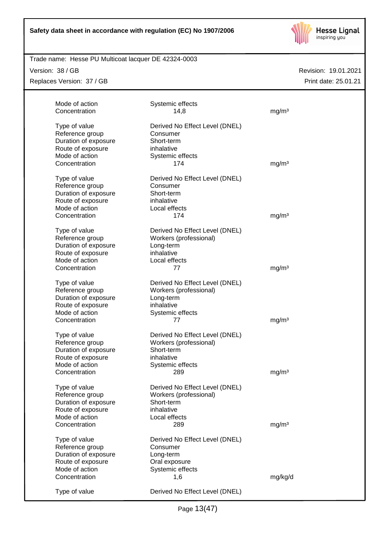

# Trade name: Hesse PU Multicoat lacquer DE 42324-0003

Version: 38 / GB

Replaces Version: 37 / GB

| Mode of action<br>Concentration | Systemic effects<br>14,8       | mg/m <sup>3</sup> |
|---------------------------------|--------------------------------|-------------------|
| Type of value                   | Derived No Effect Level (DNEL) |                   |
| Reference group                 | Consumer                       |                   |
| Duration of exposure            | Short-term                     |                   |
| Route of exposure               | inhalative                     |                   |
| Mode of action                  | Systemic effects               |                   |
| Concentration                   | 174                            | mg/m <sup>3</sup> |
| Type of value                   | Derived No Effect Level (DNEL) |                   |
| Reference group                 | Consumer                       |                   |
| Duration of exposure            | Short-term                     |                   |
| Route of exposure               | inhalative                     |                   |
| Mode of action                  | Local effects                  |                   |
| Concentration                   | 174                            | mg/m <sup>3</sup> |
| Type of value                   | Derived No Effect Level (DNEL) |                   |
| Reference group                 | Workers (professional)         |                   |
| Duration of exposure            | Long-term                      |                   |
| Route of exposure               | inhalative                     |                   |
| Mode of action                  | Local effects                  |                   |
| Concentration                   | 77                             | mg/m <sup>3</sup> |
| Type of value                   | Derived No Effect Level (DNEL) |                   |
| Reference group                 | Workers (professional)         |                   |
| Duration of exposure            | Long-term                      |                   |
| Route of exposure               | inhalative                     |                   |
| Mode of action                  | Systemic effects               |                   |
| Concentration                   | 77                             | mg/m <sup>3</sup> |
| Type of value                   | Derived No Effect Level (DNEL) |                   |
| Reference group                 | Workers (professional)         |                   |
| Duration of exposure            | Short-term                     |                   |
| Route of exposure               | inhalative                     |                   |
| Mode of action                  | Systemic effects               |                   |
| Concentration                   | 289                            | mg/m <sup>3</sup> |
| Type of value                   | Derived No Effect Level (DNEL) |                   |
| Reference group                 | Workers (professional)         |                   |
| Duration of exposure            | Short-term                     |                   |
| Route of exposure               | inhalative                     |                   |
| Mode of action                  | Local effects                  |                   |
| Concentration                   | 289                            | mg/m <sup>3</sup> |
| Type of value                   | Derived No Effect Level (DNEL) |                   |
| Reference group                 | Consumer                       |                   |
| Duration of exposure            | Long-term                      |                   |
| Route of exposure               | Oral exposure                  |                   |
| Mode of action                  | Systemic effects               |                   |
| Concentration                   | 1,6                            | mg/kg/d           |
| Type of value                   | Derived No Effect Level (DNEL) |                   |
|                                 |                                |                   |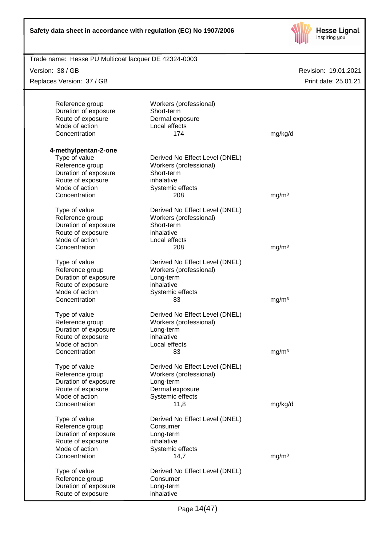

| Trade name: Hesse PU Multicoat lacquer DE 42324-0003 |                                |                   |                      |
|------------------------------------------------------|--------------------------------|-------------------|----------------------|
| Version: 38 / GB                                     |                                |                   | Revision: 19.01.2021 |
| Replaces Version: 37 / GB                            |                                |                   | Print date: 25.01.21 |
|                                                      |                                |                   |                      |
| Reference group                                      | Workers (professional)         |                   |                      |
| Duration of exposure                                 | Short-term                     |                   |                      |
| Route of exposure                                    | Dermal exposure                |                   |                      |
| Mode of action                                       | Local effects                  |                   |                      |
| Concentration                                        | 174                            | mg/kg/d           |                      |
|                                                      |                                |                   |                      |
| 4-methylpentan-2-one                                 |                                |                   |                      |
| Type of value                                        | Derived No Effect Level (DNEL) |                   |                      |
| Reference group                                      | Workers (professional)         |                   |                      |
| Duration of exposure                                 | Short-term                     |                   |                      |
| Route of exposure                                    | inhalative                     |                   |                      |
| Mode of action                                       | Systemic effects               |                   |                      |
| Concentration                                        | 208                            | mg/m <sup>3</sup> |                      |
|                                                      |                                |                   |                      |
| Type of value                                        | Derived No Effect Level (DNEL) |                   |                      |
| Reference group                                      | Workers (professional)         |                   |                      |
| Duration of exposure                                 | Short-term                     |                   |                      |
| Route of exposure                                    | inhalative                     |                   |                      |
| Mode of action                                       | Local effects                  |                   |                      |
| Concentration                                        | 208                            | mg/m <sup>3</sup> |                      |
| Type of value                                        | Derived No Effect Level (DNEL) |                   |                      |
| Reference group                                      | Workers (professional)         |                   |                      |
| Duration of exposure                                 | Long-term                      |                   |                      |
| Route of exposure                                    | inhalative                     |                   |                      |
| Mode of action                                       | Systemic effects               |                   |                      |
| Concentration                                        | 83                             | mg/m <sup>3</sup> |                      |
|                                                      |                                |                   |                      |
| Type of value                                        | Derived No Effect Level (DNEL) |                   |                      |
| Reference group                                      | Workers (professional)         |                   |                      |
| Duration of exposure                                 | Long-term                      |                   |                      |
| Route of exposure                                    | inhalative                     |                   |                      |
| Mode of action                                       | Local effects                  |                   |                      |
| Concentration                                        | 83                             | mg/m <sup>3</sup> |                      |
|                                                      |                                |                   |                      |
| Type of value                                        | Derived No Effect Level (DNEL) |                   |                      |
| Reference group                                      | Workers (professional)         |                   |                      |
| Duration of exposure                                 | Long-term                      |                   |                      |
| Route of exposure                                    | Dermal exposure                |                   |                      |
| Mode of action                                       | Systemic effects               |                   |                      |
| Concentration                                        | 11,8                           | mg/kg/d           |                      |
|                                                      |                                |                   |                      |
| Type of value                                        | Derived No Effect Level (DNEL) |                   |                      |
| Reference group                                      | Consumer                       |                   |                      |
| Duration of exposure                                 | Long-term                      |                   |                      |
| Route of exposure                                    | inhalative                     |                   |                      |
| Mode of action                                       | Systemic effects               |                   |                      |
| Concentration                                        | 14,7                           | mg/m <sup>3</sup> |                      |
| Type of value                                        | Derived No Effect Level (DNEL) |                   |                      |
| Reference group                                      | Consumer                       |                   |                      |
| Duration of exposure                                 | Long-term                      |                   |                      |
| Route of exposure                                    | inhalative                     |                   |                      |
|                                                      |                                |                   |                      |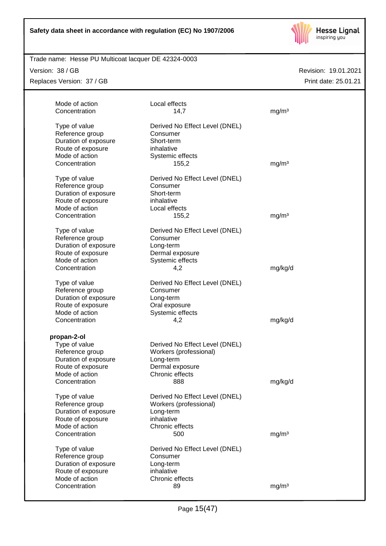

# Trade name: Hesse PU Multicoat lacquer DE 42324-0003

Version: 38 / GB

Replaces Version: 37 / GB

| Mode of action                  | Local effects                  |                   |
|---------------------------------|--------------------------------|-------------------|
| Concentration                   | 14,7                           | mq/m <sup>3</sup> |
| Type of value                   | Derived No Effect Level (DNEL) |                   |
| Reference group                 | Consumer                       |                   |
| Duration of exposure            | Short-term                     |                   |
| Route of exposure               | inhalative                     |                   |
| Mode of action                  | Systemic effects               |                   |
| Concentration                   | 155,2                          | mg/m <sup>3</sup> |
| Type of value                   | Derived No Effect Level (DNEL) |                   |
| Reference group                 | Consumer                       |                   |
| Duration of exposure            | Short-term                     |                   |
| Route of exposure               | inhalative                     |                   |
| Mode of action                  | Local effects                  |                   |
| Concentration                   | 155,2                          | mg/m <sup>3</sup> |
| Type of value                   | Derived No Effect Level (DNEL) |                   |
| Reference group                 | Consumer                       |                   |
| Duration of exposure            | Long-term                      |                   |
| Route of exposure               | Dermal exposure                |                   |
| Mode of action                  | Systemic effects               |                   |
| Concentration                   | 4,2                            | mg/kg/d           |
| Type of value                   | Derived No Effect Level (DNEL) |                   |
| Reference group                 | Consumer                       |                   |
| Duration of exposure            | Long-term                      |                   |
| Route of exposure               | Oral exposure                  |                   |
| Mode of action                  | Systemic effects               |                   |
| Concentration                   | 4,2                            | mg/kg/d           |
| propan-2-ol                     |                                |                   |
| Type of value                   | Derived No Effect Level (DNEL) |                   |
| Reference group                 | Workers (professional)         |                   |
| Duration of exposure            | Long-term                      |                   |
| Route of exposure               | Dermal exposure                |                   |
| Mode of action                  | Chronic effects                |                   |
| Concentration                   | 888                            | mg/kg/d           |
|                                 |                                |                   |
| Type of value                   | Derived No Effect Level (DNEL) |                   |
| Reference group                 | Workers (professional)         |                   |
| Duration of exposure            | Long-term                      |                   |
| Route of exposure               | inhalative                     |                   |
| Mode of action                  | Chronic effects                |                   |
| Concentration                   | 500                            | mq/m <sup>3</sup> |
| Type of value                   | Derived No Effect Level (DNEL) |                   |
| Reference group                 | Consumer                       |                   |
| Duration of exposure            | Long-term                      |                   |
| Route of exposure               | inhalative                     |                   |
|                                 |                                |                   |
| Mode of action<br>Concentration | Chronic effects<br>89          | mg/m <sup>3</sup> |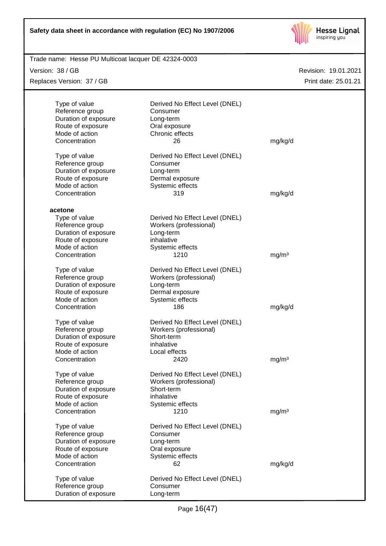

| Trade name: Hesse PU Multicoat lacquer DE 42324-0003 |                                |                   |                      |
|------------------------------------------------------|--------------------------------|-------------------|----------------------|
| Version: 38 / GB                                     |                                |                   | Revision: 19.01.2021 |
| Replaces Version: 37 / GB                            |                                |                   | Print date: 25.01.21 |
|                                                      |                                |                   |                      |
|                                                      |                                |                   |                      |
| Type of value                                        | Derived No Effect Level (DNEL) |                   |                      |
| Reference group                                      | Consumer                       |                   |                      |
| Duration of exposure                                 | Long-term                      |                   |                      |
| Route of exposure<br>Mode of action                  | Oral exposure                  |                   |                      |
| Concentration                                        | Chronic effects                |                   |                      |
|                                                      | 26                             | mg/kg/d           |                      |
| Type of value                                        | Derived No Effect Level (DNEL) |                   |                      |
| Reference group                                      | Consumer                       |                   |                      |
| Duration of exposure                                 | Long-term                      |                   |                      |
| Route of exposure                                    | Dermal exposure                |                   |                      |
| Mode of action                                       | Systemic effects               |                   |                      |
| Concentration                                        | 319                            | mg/kg/d           |                      |
|                                                      |                                |                   |                      |
| acetone                                              |                                |                   |                      |
| Type of value                                        | Derived No Effect Level (DNEL) |                   |                      |
| Reference group                                      | Workers (professional)         |                   |                      |
| Duration of exposure                                 | Long-term                      |                   |                      |
| Route of exposure                                    | inhalative                     |                   |                      |
| Mode of action                                       | Systemic effects               |                   |                      |
| Concentration                                        | 1210                           | mg/m <sup>3</sup> |                      |
| Type of value                                        | Derived No Effect Level (DNEL) |                   |                      |
| Reference group                                      | Workers (professional)         |                   |                      |
| Duration of exposure                                 | Long-term                      |                   |                      |
| Route of exposure                                    | Dermal exposure                |                   |                      |
| Mode of action                                       | Systemic effects               |                   |                      |
| Concentration                                        | 186                            | mg/kg/d           |                      |
|                                                      |                                |                   |                      |
| Type of value                                        | Derived No Effect Level (DNEL) |                   |                      |
| Reference group                                      | Workers (professional)         |                   |                      |
| Duration of exposure                                 | Short-term                     |                   |                      |
| Route of exposure                                    | inhalative                     |                   |                      |
| Mode of action                                       | Local effects                  |                   |                      |
| Concentration                                        | 2420                           | mg/m <sup>3</sup> |                      |
|                                                      |                                |                   |                      |
| Type of value                                        | Derived No Effect Level (DNEL) |                   |                      |
| Reference group                                      | Workers (professional)         |                   |                      |
| Duration of exposure                                 | Short-term                     |                   |                      |
| Route of exposure                                    | inhalative                     |                   |                      |
| Mode of action                                       | Systemic effects               |                   |                      |
| Concentration                                        | 1210                           | mg/m <sup>3</sup> |                      |
| Type of value                                        | Derived No Effect Level (DNEL) |                   |                      |
| Reference group                                      | Consumer                       |                   |                      |
| Duration of exposure                                 | Long-term                      |                   |                      |
| Route of exposure                                    | Oral exposure                  |                   |                      |
| Mode of action                                       | Systemic effects               |                   |                      |
| Concentration                                        | 62                             | mg/kg/d           |                      |
|                                                      |                                |                   |                      |
| Type of value                                        | Derived No Effect Level (DNEL) |                   |                      |
| Reference group                                      | Consumer                       |                   |                      |
| Duration of exposure                                 | Long-term                      |                   |                      |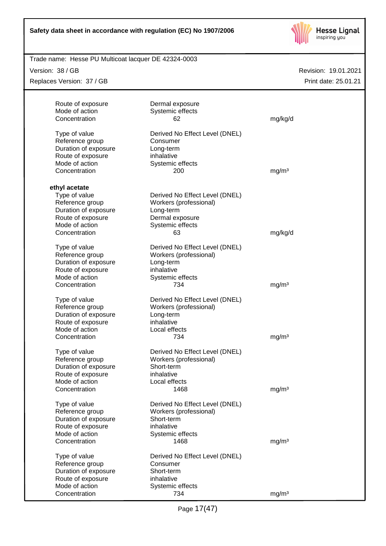

## Trade name: Hesse PU Multicoat lacquer DE 42324-0003

Version: 38 / GB

Replaces Version: 37 / GB

| Route of exposure              | Dermal exposure                |                   |
|--------------------------------|--------------------------------|-------------------|
| Mode of action                 | Systemic effects               |                   |
| Concentration                  | 62                             | mg/kg/d           |
| Type of value                  | Derived No Effect Level (DNEL) |                   |
| Reference group                | Consumer                       |                   |
| Duration of exposure           | Long-term                      |                   |
| Route of exposure              | inhalative                     |                   |
| Mode of action                 | Systemic effects               |                   |
| Concentration                  | 200                            | mg/m <sup>3</sup> |
|                                |                                |                   |
| ethyl acetate<br>Type of value | Derived No Effect Level (DNEL) |                   |
| Reference group                | Workers (professional)         |                   |
| Duration of exposure           | Long-term                      |                   |
| Route of exposure              | Dermal exposure                |                   |
| Mode of action                 | Systemic effects               |                   |
| Concentration                  | 63                             | mg/kg/d           |
|                                |                                |                   |
| Type of value                  | Derived No Effect Level (DNEL) |                   |
| Reference group                | Workers (professional)         |                   |
| Duration of exposure           | Long-term                      |                   |
| Route of exposure              | inhalative                     |                   |
| Mode of action                 | Systemic effects               |                   |
| Concentration                  | 734                            | mg/m <sup>3</sup> |
| Type of value                  | Derived No Effect Level (DNEL) |                   |
| Reference group                | Workers (professional)         |                   |
| Duration of exposure           | Long-term                      |                   |
| Route of exposure              | inhalative                     |                   |
| Mode of action                 | Local effects                  |                   |
| Concentration                  | 734                            | mg/m <sup>3</sup> |
| Type of value                  | Derived No Effect Level (DNEL) |                   |
| Reference group                | Workers (professional)         |                   |
| Duration of exposure           | Short-term                     |                   |
| Route of exposure              | inhalative                     |                   |
| Mode of action                 | Local effects                  |                   |
| Concentration                  | 1468                           | mg/m <sup>3</sup> |
| Type of value                  | Derived No Effect Level (DNEL) |                   |
| Reference group                | Workers (professional)         |                   |
| Duration of exposure           | Short-term                     |                   |
| Route of exposure              | inhalative                     |                   |
| Mode of action                 | Systemic effects               |                   |
| Concentration                  | 1468                           | mg/m <sup>3</sup> |
| Type of value                  | Derived No Effect Level (DNEL) |                   |
| Reference group                | Consumer                       |                   |
| Duration of exposure           | Short-term                     |                   |
| Route of exposure              | inhalative                     |                   |
| Mode of action                 | Systemic effects               |                   |
| Concentration                  | 734                            | mg/m <sup>3</sup> |
|                                |                                |                   |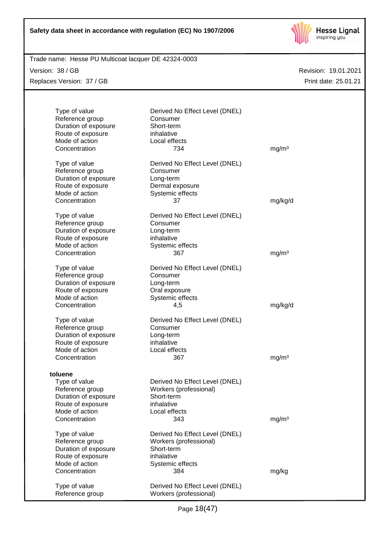

# Trade name: Hesse PU Multicoat lacquer DE 42324-0003

Version: 38 / GB Replaces Version: 37 / GB

| Type of value<br>Reference group<br>Duration of exposure<br>Route of exposure<br>Mode of action<br>Concentration            | Derived No Effect Level (DNEL)<br>Consumer<br>Short-term<br>inhalative<br>Local effects<br>734                  | mg/m <sup>3</sup> |
|-----------------------------------------------------------------------------------------------------------------------------|-----------------------------------------------------------------------------------------------------------------|-------------------|
| Type of value<br>Reference group<br>Duration of exposure<br>Route of exposure<br>Mode of action<br>Concentration            | Derived No Effect Level (DNEL)<br>Consumer<br>Long-term<br>Dermal exposure<br>Systemic effects<br>37            | mg/kg/d           |
| Type of value<br>Reference group<br>Duration of exposure<br>Route of exposure<br>Mode of action<br>Concentration            | Derived No Effect Level (DNEL)<br>Consumer<br>Long-term<br>inhalative<br>Systemic effects<br>367                | mg/m <sup>3</sup> |
| Type of value<br>Reference group<br>Duration of exposure<br>Route of exposure<br>Mode of action<br>Concentration            | Derived No Effect Level (DNEL)<br>Consumer<br>Long-term<br>Oral exposure<br>Systemic effects<br>4,5             | mg/kg/d           |
| Type of value<br>Reference group<br>Duration of exposure<br>Route of exposure<br>Mode of action<br>Concentration            | Derived No Effect Level (DNEL)<br>Consumer<br>Long-term<br>inhalative<br>Local effects<br>367                   | mg/m <sup>3</sup> |
| toluene<br>Type of value<br>Reference group<br>Duration of exposure<br>Route of exposure<br>Mode of action<br>Concentration | Derived No Effect Level (DNEL)<br>Workers (professional)<br>Short-term<br>inhalative<br>Local effects<br>343    | mg/m <sup>3</sup> |
| Type of value<br>Reference group<br>Duration of exposure<br>Route of exposure<br>Mode of action<br>Concentration            | Derived No Effect Level (DNEL)<br>Workers (professional)<br>Short-term<br>inhalative<br>Systemic effects<br>384 | mg/kg             |
| Type of value<br>Reference group                                                                                            | Derived No Effect Level (DNEL)<br>Workers (professional)                                                        |                   |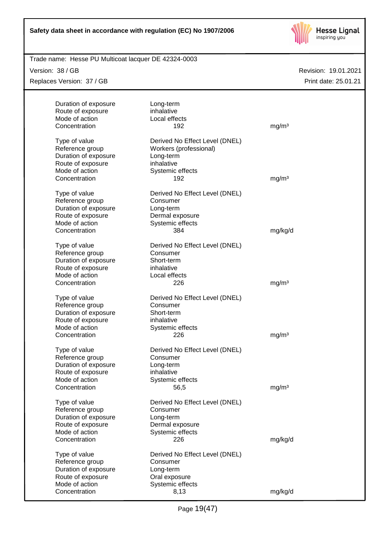

Trade name: Hesse PU Multicoat lacquer DE 42324-0003

Version: 38 / GB

Replaces Version: 37 / GB

| Duration of exposure<br>Route of exposure<br>Mode of action<br>Concentration                                     | Long-term<br>inhalative<br>Local effects<br>192                                                                | mg/m <sup>3</sup> |
|------------------------------------------------------------------------------------------------------------------|----------------------------------------------------------------------------------------------------------------|-------------------|
| Type of value<br>Reference group<br>Duration of exposure<br>Route of exposure<br>Mode of action<br>Concentration | Derived No Effect Level (DNEL)<br>Workers (professional)<br>Long-term<br>inhalative<br>Systemic effects<br>192 | mg/m <sup>3</sup> |
| Type of value<br>Reference group<br>Duration of exposure<br>Route of exposure                                    | Derived No Effect Level (DNEL)<br>Consumer<br>Long-term<br>Dermal exposure                                     |                   |
| Mode of action<br>Concentration                                                                                  | Systemic effects<br>384                                                                                        | mg/kg/d           |
| Type of value<br>Reference group<br>Duration of exposure<br>Route of exposure<br>Mode of action<br>Concentration | Derived No Effect Level (DNEL)<br>Consumer<br>Short-term<br>inhalative<br>Local effects<br>226                 |                   |
| Type of value                                                                                                    | Derived No Effect Level (DNEL)                                                                                 | mg/m <sup>3</sup> |
| Reference group<br>Duration of exposure<br>Route of exposure<br>Mode of action                                   | Consumer<br>Short-term<br>inhalative<br>Systemic effects                                                       |                   |
| Concentration                                                                                                    | 226                                                                                                            | mg/m <sup>3</sup> |
| Type of value<br>Reference group<br>Duration of exposure<br>Route of exposure                                    | Derived No Effect Level (DNEL)<br>Consumer<br>Long-term<br>inhalative                                          |                   |
| Mode of action<br>Concentration                                                                                  | Systemic effects<br>56,5                                                                                       | mg/m <sup>3</sup> |
| Type of value<br>Reference group<br>Duration of exposure<br>Route of exposure                                    | Derived No Effect Level (DNEL)<br>Consumer<br>Long-term<br>Dermal exposure                                     |                   |
| Mode of action<br>Concentration                                                                                  | Systemic effects<br>226                                                                                        | mg/kg/d           |
| Type of value<br>Reference group<br>Duration of exposure<br>Route of exposure                                    | Derived No Effect Level (DNEL)<br>Consumer<br>Long-term<br>Oral exposure                                       |                   |
| Mode of action<br>Concentration                                                                                  | Systemic effects<br>8,13                                                                                       | mg/kg/d           |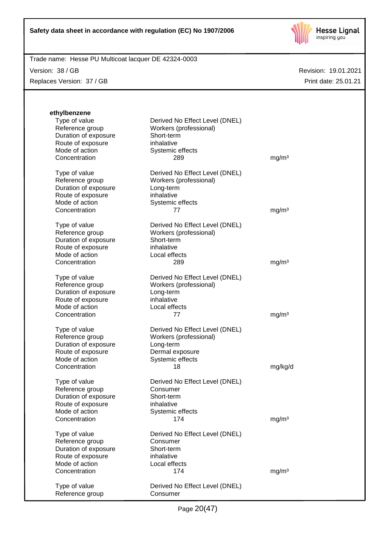

Version: 38 / GB

Replaces Version: 37 / GB

| ethylbenzene         |                                |                   |
|----------------------|--------------------------------|-------------------|
| Type of value        | Derived No Effect Level (DNEL) |                   |
| Reference group      | Workers (professional)         |                   |
| Duration of exposure | Short-term                     |                   |
| Route of exposure    | inhalative                     |                   |
| Mode of action       | Systemic effects               |                   |
| Concentration        | 289                            | mg/m <sup>3</sup> |
|                      |                                |                   |
| Type of value        | Derived No Effect Level (DNEL) |                   |
| Reference group      | Workers (professional)         |                   |
| Duration of exposure | Long-term                      |                   |
| Route of exposure    | inhalative                     |                   |
| Mode of action       | Systemic effects               |                   |
| Concentration        | 77                             | mg/m <sup>3</sup> |
| Type of value        | Derived No Effect Level (DNEL) |                   |
| Reference group      | Workers (professional)         |                   |
| Duration of exposure | Short-term                     |                   |
| Route of exposure    | inhalative                     |                   |
| Mode of action       | Local effects                  |                   |
| Concentration        | 289                            | mg/m <sup>3</sup> |
|                      |                                |                   |
| Type of value        | Derived No Effect Level (DNEL) |                   |
| Reference group      | Workers (professional)         |                   |
| Duration of exposure | Long-term                      |                   |
| Route of exposure    | inhalative                     |                   |
| Mode of action       | Local effects                  |                   |
| Concentration        | 77                             | mg/m <sup>3</sup> |
| Type of value        | Derived No Effect Level (DNEL) |                   |
| Reference group      | Workers (professional)         |                   |
| Duration of exposure | Long-term                      |                   |
| Route of exposure    | Dermal exposure                |                   |
| Mode of action       | Systemic effects               |                   |
| Concentration        | 18                             | mg/kg/d           |
|                      |                                |                   |
| Type of value        | Derived No Effect Level (DNEL) |                   |
| Reference group      | Consumer                       |                   |
| Duration of exposure | Short-term                     |                   |
| Route of exposure    | inhalative                     |                   |
| Mode of action       | Systemic effects               |                   |
| Concentration        | 174                            | mg/m <sup>3</sup> |
| Type of value        | Derived No Effect Level (DNEL) |                   |
| Reference group      | Consumer                       |                   |
| Duration of exposure | Short-term                     |                   |
| Route of exposure    | inhalative                     |                   |
| Mode of action       | Local effects                  |                   |
| Concentration        | 174                            | mg/m <sup>3</sup> |
|                      |                                |                   |
| Type of value        | Derived No Effect Level (DNEL) |                   |
| Reference group      | Consumer                       |                   |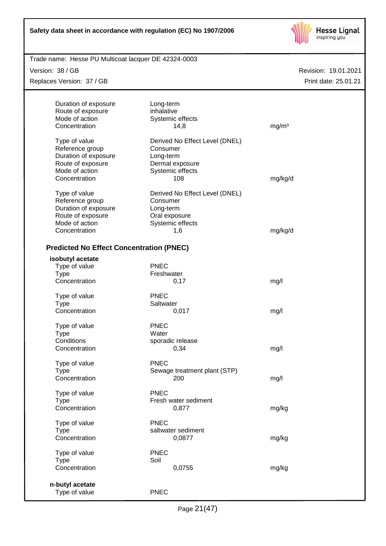

| Trade name: Hesse PU Multicoat lacquer DE 42324-0003 |  |
|------------------------------------------------------|--|
|                                                      |  |

Version: 38 / GB

Replaces Version: 37 / GB

| Duration of exposure                            | Long-term                      |                   |
|-------------------------------------------------|--------------------------------|-------------------|
| Route of exposure                               | inhalative                     |                   |
| Mode of action                                  | Systemic effects               |                   |
| Concentration                                   | 14,8                           | mg/m <sup>3</sup> |
| Type of value                                   | Derived No Effect Level (DNEL) |                   |
| Reference group                                 | Consumer                       |                   |
| Duration of exposure                            | Long-term                      |                   |
| Route of exposure                               | Dermal exposure                |                   |
| Mode of action                                  | Systemic effects               |                   |
| Concentration                                   | 108                            | mg/kg/d           |
|                                                 |                                |                   |
| Type of value                                   | Derived No Effect Level (DNEL) |                   |
| Reference group                                 | Consumer                       |                   |
| Duration of exposure                            | Long-term                      |                   |
| Route of exposure                               | Oral exposure                  |                   |
| Mode of action                                  | Systemic effects               |                   |
| Concentration                                   | 1,6                            | mg/kg/d           |
|                                                 |                                |                   |
| <b>Predicted No Effect Concentration (PNEC)</b> |                                |                   |
| isobutyl acetate                                |                                |                   |
| Type of value                                   | <b>PNEC</b>                    |                   |
| <b>Type</b>                                     | Freshwater                     |                   |
| Concentration                                   | 0,17                           | mg/l              |
| Type of value                                   | <b>PNEC</b>                    |                   |
| <b>Type</b>                                     | Saltwater                      |                   |
| Concentration                                   | 0,017                          | mg/l              |
| Type of value                                   | <b>PNEC</b>                    |                   |
| <b>Type</b>                                     | Water                          |                   |
| Conditions                                      | sporadic release               |                   |
| Concentration                                   | 0,34                           | mg/l              |
|                                                 |                                |                   |
| Type of value                                   | <b>PNEC</b>                    |                   |
| <b>Type</b>                                     | Sewage treatment plant (STP)   |                   |
| Concentration                                   | 200                            | mg/l              |
| Type of value                                   | <b>PNEC</b>                    |                   |
| <b>Type</b>                                     | Fresh water sediment           |                   |
| Concentration                                   | 0,877                          | mg/kg             |
|                                                 |                                |                   |
| Type of value                                   | <b>PNEC</b>                    |                   |
| <b>Type</b>                                     | saltwater sediment             |                   |
| Concentration                                   | 0,0877                         | mg/kg             |
| Type of value                                   | <b>PNEC</b>                    |                   |
| <b>Type</b>                                     | Soil                           |                   |
| Concentration                                   | 0,0755                         | mg/kg             |
|                                                 |                                |                   |
| n-butyl acetate                                 |                                |                   |
| Type of value                                   | <b>PNEC</b>                    |                   |
|                                                 |                                |                   |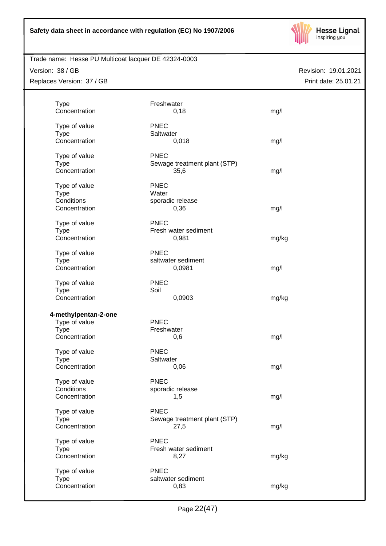

Version: 38 / GB Replaces Version: 37 / GB

| <b>Type</b>                  | Freshwater                   |       |  |
|------------------------------|------------------------------|-------|--|
| Concentration                | 0,18                         | mg/l  |  |
| Type of value                | <b>PNEC</b>                  |       |  |
| <b>Type</b>                  | Saltwater                    |       |  |
| Concentration                | 0,018                        | mg/l  |  |
|                              |                              |       |  |
| Type of value                | <b>PNEC</b>                  |       |  |
| <b>Type</b>                  | Sewage treatment plant (STP) |       |  |
| Concentration                | 35,6                         | mg/l  |  |
| Type of value                | <b>PNEC</b>                  |       |  |
| <b>Type</b>                  | Water                        |       |  |
| Conditions                   | sporadic release             |       |  |
| Concentration                | 0,36                         | mg/l  |  |
|                              | <b>PNEC</b>                  |       |  |
| Type of value<br><b>Type</b> | Fresh water sediment         |       |  |
| Concentration                | 0,981                        | mg/kg |  |
|                              |                              |       |  |
| Type of value                | <b>PNEC</b>                  |       |  |
| <b>Type</b>                  | saltwater sediment           |       |  |
| Concentration                | 0,0981                       | mg/l  |  |
| Type of value                | <b>PNEC</b>                  |       |  |
| <b>Type</b>                  | Soil                         |       |  |
| Concentration                | 0,0903                       | mg/kg |  |
|                              |                              |       |  |
| 4-methylpentan-2-one         |                              |       |  |
| Type of value                | <b>PNEC</b>                  |       |  |
| <b>Type</b>                  | Freshwater                   |       |  |
| Concentration                | 0,6                          | mg/l  |  |
| Type of value                | <b>PNEC</b>                  |       |  |
| <b>Type</b>                  | Saltwater                    |       |  |
| Concentration                | 0,06                         | mg/l  |  |
|                              |                              |       |  |
| Type of value                | <b>PNEC</b>                  |       |  |
| Conditions<br>Concentration  | sporadic release<br>1,5      |       |  |
|                              |                              | mg/l  |  |
| Type of value                | <b>PNEC</b>                  |       |  |
| <b>Type</b>                  | Sewage treatment plant (STP) |       |  |
| Concentration                | 27,5                         | mg/l  |  |
| Type of value                | <b>PNEC</b>                  |       |  |
| <b>Type</b>                  | Fresh water sediment         |       |  |
| Concentration                | 8,27                         | mg/kg |  |
|                              |                              |       |  |
| Type of value                | <b>PNEC</b>                  |       |  |
| <b>Type</b>                  | saltwater sediment           |       |  |
| Concentration                | 0,83                         | mg/kg |  |
|                              |                              |       |  |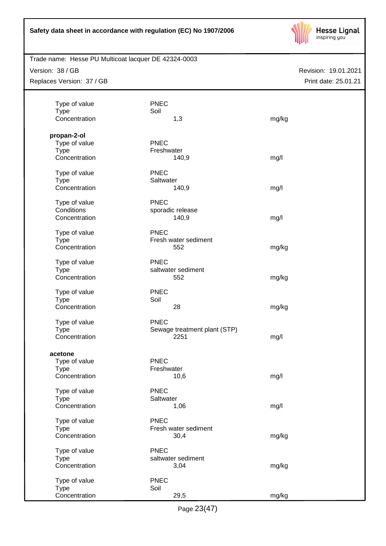

Trade name: Hesse PU Multicoat lacquer DE 42324-0003

Version: 38 / GB Replaces Version: 37 / GB

| Type of value | <b>PNEC</b>                  |       |  |
|---------------|------------------------------|-------|--|
| <b>Type</b>   | Soil                         |       |  |
| Concentration | 1,3                          | mg/kg |  |
|               |                              |       |  |
| propan-2-ol   |                              |       |  |
| Type of value | <b>PNEC</b>                  |       |  |
| <b>Type</b>   | Freshwater                   |       |  |
| Concentration | 140,9                        | mg/l  |  |
|               |                              |       |  |
| Type of value | <b>PNEC</b>                  |       |  |
| <b>Type</b>   | Saltwater                    |       |  |
| Concentration | 140,9                        | mg/l  |  |
|               |                              |       |  |
| Type of value | <b>PNEC</b>                  |       |  |
| Conditions    | sporadic release             |       |  |
| Concentration | 140,9                        | mg/l  |  |
|               |                              |       |  |
| Type of value | <b>PNEC</b>                  |       |  |
| <b>Type</b>   | Fresh water sediment         |       |  |
| Concentration | 552                          | mg/kg |  |
|               |                              |       |  |
| Type of value | <b>PNEC</b>                  |       |  |
| <b>Type</b>   | saltwater sediment           |       |  |
| Concentration | 552                          | mg/kg |  |
|               |                              |       |  |
| Type of value | <b>PNEC</b>                  |       |  |
| <b>Type</b>   | Soil                         |       |  |
| Concentration | 28                           | mg/kg |  |
|               | <b>PNEC</b>                  |       |  |
| Type of value |                              |       |  |
| <b>Type</b>   | Sewage treatment plant (STP) |       |  |
| Concentration | 2251                         | mg/l  |  |
|               |                              |       |  |
| acetone       |                              |       |  |
| Type of value | <b>PNEC</b>                  |       |  |
| <b>Type</b>   | Freshwater                   |       |  |
| Concentration | 10,6                         | mg/l  |  |
| Type of value | <b>PNEC</b>                  |       |  |
| <b>Type</b>   | Saltwater                    |       |  |
| Concentration |                              |       |  |
|               | 1,06                         | mg/l  |  |
| Type of value | <b>PNEC</b>                  |       |  |
| <b>Type</b>   | Fresh water sediment         |       |  |
| Concentration | 30,4                         | mg/kg |  |
|               |                              |       |  |
| Type of value | <b>PNEC</b>                  |       |  |
| <b>Type</b>   | saltwater sediment           |       |  |
| Concentration | 3,04                         | mg/kg |  |
|               |                              |       |  |
| Type of value | <b>PNEC</b>                  |       |  |
| <b>Type</b>   | Soil                         |       |  |
| Concentration | 29,5                         | mg/kg |  |
|               |                              |       |  |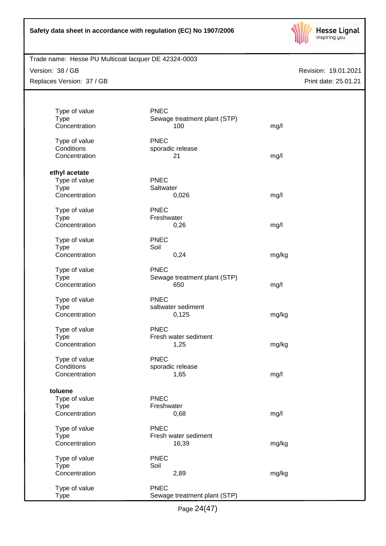

# Trade name: Hesse PU Multicoat lacquer DE 42324-0003

Version: 38 / GB Replaces Version: 37 / GB

| Type of value                | <b>PNEC</b>                  |       |
|------------------------------|------------------------------|-------|
| <b>Type</b>                  | Sewage treatment plant (STP) |       |
| Concentration                | 100                          | mg/l  |
| Type of value                | <b>PNEC</b>                  |       |
| Conditions                   | sporadic release             |       |
| Concentration                | 21                           | mg/l  |
| ethyl acetate                |                              |       |
| Type of value                | <b>PNEC</b>                  |       |
| <b>Type</b>                  | Saltwater                    |       |
| Concentration                | 0,026                        | mg/l  |
| Type of value                | <b>PNEC</b>                  |       |
| <b>Type</b>                  | Freshwater                   |       |
| Concentration                | 0,26                         | mg/l  |
|                              |                              |       |
| Type of value                | <b>PNEC</b>                  |       |
| <b>Type</b><br>Concentration | Soil<br>0,24                 | mg/kg |
|                              |                              |       |
| Type of value                | <b>PNEC</b>                  |       |
| <b>Type</b>                  | Sewage treatment plant (STP) |       |
| Concentration                | 650                          | mg/l  |
| Type of value                | <b>PNEC</b>                  |       |
| <b>Type</b>                  | saltwater sediment           |       |
| Concentration                | 0,125                        | mg/kg |
| Type of value                | <b>PNEC</b>                  |       |
| <b>Type</b>                  | Fresh water sediment         |       |
| Concentration                | 1,25                         | mg/kg |
| Type of value                | <b>PNEC</b>                  |       |
| Conditions                   | sporadic release             |       |
| Concentration                | 1,65                         | mg/l  |
| toluene                      |                              |       |
| Type of value                | <b>PNEC</b>                  |       |
| <b>Type</b>                  | Freshwater                   |       |
| Concentration                | 0,68                         | mg/l  |
| Type of value                | <b>PNEC</b>                  |       |
| <b>Type</b>                  | Fresh water sediment         |       |
| Concentration                | 16,39                        | mg/kg |
|                              |                              |       |
| Type of value                | <b>PNEC</b>                  |       |
| <b>Type</b><br>Concentration | Soil<br>2,89                 |       |
|                              |                              | mg/kg |
| Type of value                | <b>PNEC</b>                  |       |
| <b>Type</b>                  | Sewage treatment plant (STP) |       |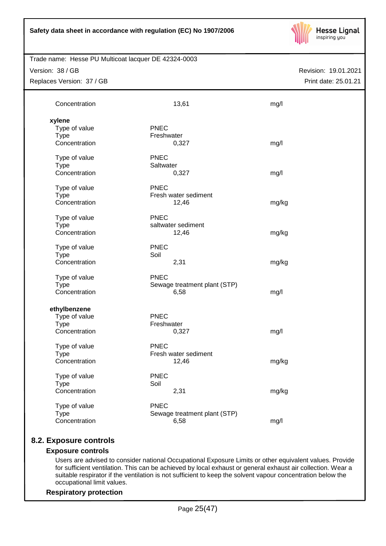

Version: 38 / GB Replaces Version: 37 / GB

Revision: 19.01.2021 Print date: 25.01.21

| Concentration                                                 | 13,61                                               | mg/l  |
|---------------------------------------------------------------|-----------------------------------------------------|-------|
| xylene<br>Type of value<br><b>Type</b><br>Concentration       | <b>PNEC</b><br>Freshwater<br>0,327                  | mg/l  |
| Type of value<br><b>Type</b><br>Concentration                 | <b>PNEC</b><br>Saltwater<br>0,327                   | mg/l  |
| Type of value<br><b>Type</b><br>Concentration                 | <b>PNEC</b><br>Fresh water sediment<br>12,46        | mg/kg |
| Type of value<br><b>Type</b><br>Concentration                 | <b>PNEC</b><br>saltwater sediment<br>12,46          | mg/kg |
| Type of value<br><b>Type</b><br>Concentration                 | <b>PNEC</b><br>Soil<br>2,31                         | mg/kg |
| Type of value<br><b>Type</b><br>Concentration                 | <b>PNEC</b><br>Sewage treatment plant (STP)<br>6,58 | mg/l  |
| ethylbenzene<br>Type of value<br><b>Type</b><br>Concentration | <b>PNEC</b><br>Freshwater<br>0,327                  | mg/l  |
| Type of value<br><b>Type</b><br>Concentration                 | <b>PNEC</b><br>Fresh water sediment<br>12,46        | mg/kg |
| Type of value<br><b>Type</b><br>Concentration                 | <b>PNEC</b><br>Soil<br>2,31                         | mg/kg |
| Type of value<br><b>Type</b><br>Concentration                 | <b>PNEC</b><br>Sewage treatment plant (STP)<br>6,58 | mg/l  |

# **8.2. Exposure controls**

# **Exposure controls**

Users are advised to consider national Occupational Exposure Limits or other equivalent values. Provide for sufficient ventilation. This can be achieved by local exhaust or general exhaust air collection. Wear a suitable respirator if the ventilation is not sufficient to keep the solvent vapour concentration below the occupational limit values.

# **Respiratory protection**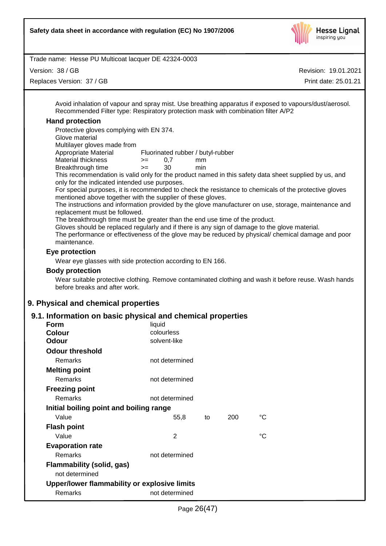

Version: 38 / GB

Replaces Version: 37 / GB

Revision: 19.01.2021

Print date: 25.01.21

Avoid inhalation of vapour and spray mist. Use breathing apparatus if exposed to vapours/dust/aerosol. Recommended Filter type: Respiratory protection mask with combination filter A/P2

## **Hand protection**

Protective gloves complying with EN 374.

Glove material

Multilayer gloves made from

Appropriate Material Fluorinated rubber / butyl-rubber

- Material thickness  $\rightarrow$  = 0,7 mm
- Breakthrough time >= 30 min

This recommendation is valid only for the product named in this safety data sheet supplied by us, and only for the indicated intended use purposes.

For special purposes, it is recommended to check the resistance to chemicals of the protective gloves mentioned above together with the supplier of these gloves.

The instructions and information provided by the glove manufacturer on use, storage, maintenance and replacement must be followed.

The breakthrough time must be greater than the end use time of the product.

Gloves should be replaced regularly and if there is any sign of damage to the glove material.

The performance or effectiveness of the glove may be reduced by physical/ chemical damage and poor maintenance.

# **Eye protection**

Wear eye glasses with side protection according to EN 166.

#### **Body protection**

Wear suitable protective clothing. Remove contaminated clothing and wash it before reuse. Wash hands before breaks and after work.

# **9. Physical and chemical properties**

# **9.1. Information on basic physical and chemical properties**

| Form                                         | liquid         |    |     |             |
|----------------------------------------------|----------------|----|-----|-------------|
| <b>Colour</b>                                | colourless     |    |     |             |
| Odour                                        | solvent-like   |    |     |             |
| <b>Odour threshold</b>                       |                |    |     |             |
| Remarks                                      | not determined |    |     |             |
| <b>Melting point</b>                         |                |    |     |             |
| Remarks                                      | not determined |    |     |             |
| <b>Freezing point</b>                        |                |    |     |             |
| Remarks                                      | not determined |    |     |             |
| Initial boiling point and boiling range      |                |    |     |             |
| Value                                        | 55,8           | to | 200 | °C          |
| <b>Flash point</b>                           |                |    |     |             |
| Value                                        | $\mathfrak{p}$ |    |     | $^{\circ}C$ |
| <b>Evaporation rate</b>                      |                |    |     |             |
| Remarks                                      | not determined |    |     |             |
| Flammability (solid, gas)                    |                |    |     |             |
| not determined                               |                |    |     |             |
| Upper/lower flammability or explosive limits |                |    |     |             |
| Remarks                                      | not determined |    |     |             |
|                                              |                |    |     |             |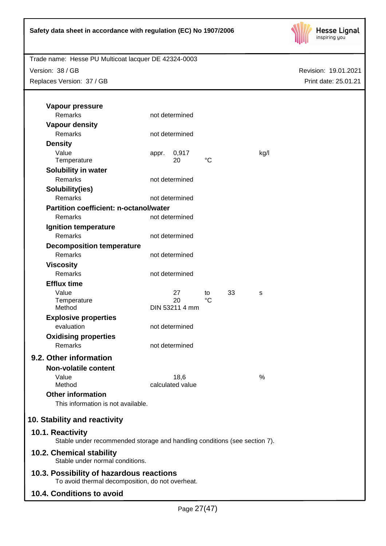

Version: 38 / GB Replaces Version: 37 / GB

| Vapour pressure                                                                               |       |                      |    |    |      |
|-----------------------------------------------------------------------------------------------|-------|----------------------|----|----|------|
| <b>Remarks</b>                                                                                |       | not determined       |    |    |      |
| <b>Vapour density</b>                                                                         |       |                      |    |    |      |
| Remarks                                                                                       |       | not determined       |    |    |      |
| <b>Density</b>                                                                                |       |                      |    |    |      |
| Value<br>Temperature                                                                          | appr. | 0,917<br>20          | °C |    | kg/l |
| Solubility in water                                                                           |       |                      |    |    |      |
| <b>Remarks</b>                                                                                |       | not determined       |    |    |      |
| Solubility(ies)                                                                               |       |                      |    |    |      |
| Remarks                                                                                       |       | not determined       |    |    |      |
| <b>Partition coefficient: n-octanol/water</b>                                                 |       |                      |    |    |      |
| Remarks                                                                                       |       | not determined       |    |    |      |
| Ignition temperature                                                                          |       |                      |    |    |      |
| Remarks                                                                                       |       | not determined       |    |    |      |
| <b>Decomposition temperature</b>                                                              |       |                      |    |    |      |
| Remarks                                                                                       |       | not determined       |    |    |      |
| <b>Viscosity</b>                                                                              |       |                      |    |    |      |
| <b>Remarks</b>                                                                                |       | not determined       |    |    |      |
| <b>Efflux time</b>                                                                            |       |                      |    |    |      |
| Value                                                                                         |       | 27                   | to | 33 | s    |
| Temperature<br>Method                                                                         |       | 20<br>DIN 53211 4 mm | °C |    |      |
| <b>Explosive properties</b>                                                                   |       |                      |    |    |      |
| evaluation                                                                                    |       | not determined       |    |    |      |
| <b>Oxidising properties</b>                                                                   |       |                      |    |    |      |
| Remarks                                                                                       |       | not determined       |    |    |      |
| 9.2. Other information                                                                        |       |                      |    |    |      |
| <b>Non-volatile content</b>                                                                   |       |                      |    |    |      |
| Value                                                                                         |       | 18,6                 |    |    | %    |
| Method                                                                                        |       | calculated value     |    |    |      |
| <b>Other information</b><br>This information is not available.                                |       |                      |    |    |      |
| 10. Stability and reactivity                                                                  |       |                      |    |    |      |
| 10.1. Reactivity<br>Stable under recommended storage and handling conditions (see section 7). |       |                      |    |    |      |
| 10.2. Chemical stability<br>Stable under normal conditions.                                   |       |                      |    |    |      |
| 10.3. Possibility of hazardous reactions<br>To avoid thermal decomposition, do not overheat.  |       |                      |    |    |      |
| 10.4. Conditions to avoid                                                                     |       |                      |    |    |      |
|                                                                                               |       |                      |    |    |      |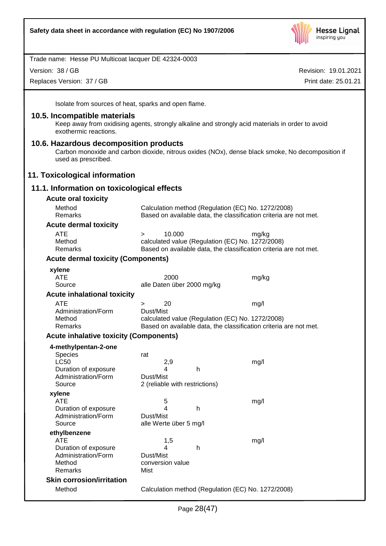

Version: 38 / GB

Replaces Version: 37 / GB

Revision: 19.01.2021 Print date: 25.01.21

Isolate from sources of heat, sparks and open flame.

#### **10.5. Incompatible materials**

Keep away from oxidising agents, strongly alkaline and strongly acid materials in order to avoid exothermic reactions.

#### **10.6. Hazardous decomposition products**

Carbon monoxide and carbon dioxide, nitrous oxides (NOx), dense black smoke, No decomposition if used as prescribed.

#### **11. Toxicological information**

# **11.1. Information on toxicological effects**

| <b>Acute oral toxicity</b>                    |                                                    |                                                                   |
|-----------------------------------------------|----------------------------------------------------|-------------------------------------------------------------------|
| Method<br>Remarks                             | Calculation method (Regulation (EC) No. 1272/2008) | Based on available data, the classification criteria are not met. |
| <b>Acute dermal toxicity</b>                  |                                                    |                                                                   |
| <b>ATE</b>                                    | 10.000<br>$\geq$                                   | mg/kg                                                             |
| Method                                        | calculated value (Regulation (EC) No. 1272/2008)   |                                                                   |
| Remarks                                       |                                                    | Based on available data, the classification criteria are not met. |
| <b>Acute dermal toxicity (Components)</b>     |                                                    |                                                                   |
| xylene                                        |                                                    |                                                                   |
| ATE                                           | 2000                                               | mg/kg                                                             |
| Source                                        | alle Daten über 2000 mg/kg                         |                                                                   |
| <b>Acute inhalational toxicity</b>            |                                                    |                                                                   |
| <b>ATE</b><br>Administration/Form             | 20<br>$\geq$<br>Dust/Mist                          | mg/l                                                              |
| Method                                        | calculated value (Regulation (EC) No. 1272/2008)   |                                                                   |
| Remarks                                       |                                                    | Based on available data, the classification criteria are not met. |
| <b>Acute inhalative toxicity (Components)</b> |                                                    |                                                                   |
| 4-methylpentan-2-one                          |                                                    |                                                                   |
| Species                                       | rat                                                |                                                                   |
| <b>LC50</b>                                   | 2,9<br>h<br>4                                      | mg/l                                                              |
| Duration of exposure<br>Administration/Form   | Dust/Mist                                          |                                                                   |
| Source                                        | 2 (reliable with restrictions)                     |                                                                   |
| xylene                                        |                                                    |                                                                   |
| <b>ATE</b>                                    | 5                                                  | mg/l                                                              |
| Duration of exposure                          | 4<br>h                                             |                                                                   |
| Administration/Form                           | Dust/Mist                                          |                                                                   |
| Source                                        | alle Werte über 5 mg/l                             |                                                                   |
| ethylbenzene<br><b>ATE</b>                    | 1,5                                                | mg/l                                                              |
| Duration of exposure                          | h<br>4                                             |                                                                   |
| Administration/Form                           | Dust/Mist                                          |                                                                   |
| Method                                        | conversion value                                   |                                                                   |
| Remarks                                       | Mist                                               |                                                                   |
| <b>Skin corrosion/irritation</b>              |                                                    |                                                                   |
| Method                                        | Calculation method (Regulation (EC) No. 1272/2008) |                                                                   |
|                                               |                                                    |                                                                   |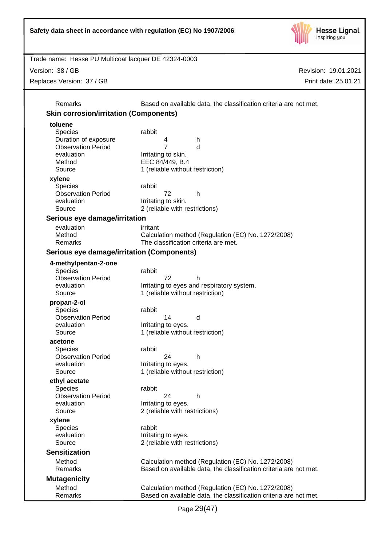

Version: 38 / GB

Replaces Version: 37 / GB

Revision: 19.01.2021 Print date: 25.01.21

Remarks Based on available data, the classification criteria are not met. **Skin corrosion/irritation (Components) toluene** Species rabbit Duration of exposure 4 h Observation Period 7 d evaluation **I**rritating to skin. Method EEC 84/449, B.4 Source 1 (reliable without restriction) **xylene** Species rabbit Observation Period 72 h evaluation **I**rritating to skin. Source 2 (reliable with restrictions) **Serious eye damage/irritation** evaluation irritant Method Calculation method (Regulation (EC) No. 1272/2008) Remarks The classification criteria are met. **Serious eye damage/irritation (Components) 4-methylpentan-2-one** Species rabbit Observation Period 72 h evaluation **I**rritating to eyes and respiratory system. Source 1 (reliable without restriction) **propan-2-ol** Species rabbit Observation Period 14 d evaluation **I**rritating to eyes. Source 1 (reliable without restriction) **acetone** Species rabbit Observation Period 24 h evaluation **I**rritating to eyes. Source 1 (reliable without restriction) **ethyl acetate** Species rabbit Observation Period 24 h evaluation **I**rritating to eyes. Source 2 (reliable with restrictions) **xylene** Species rabbit evaluation **I**rritating to eyes. Source 2 (reliable with restrictions) **Sensitization** Method Calculation method (Regulation (EC) No. 1272/2008) Remarks Based on available data, the classification criteria are not met. **Mutagenicity** Method Calculation method (Regulation (EC) No. 1272/2008) Remarks **Based on available data, the classification criteria are not met.**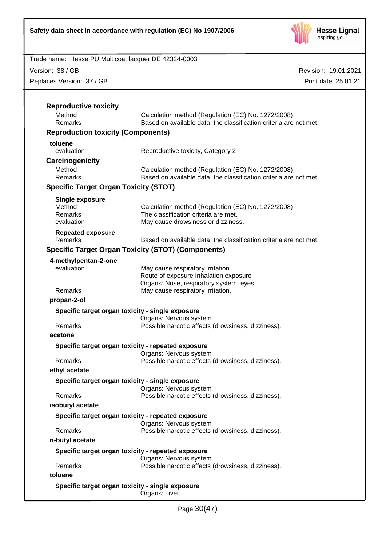

Version: 38 / GB

Replaces Version: 37 / GB

| Method                                       | Calculation method (Regulation (EC) No. 1272/2008)                           |  |
|----------------------------------------------|------------------------------------------------------------------------------|--|
| Remarks                                      | Based on available data, the classification criteria are not met.            |  |
| <b>Reproduction toxicity (Components)</b>    |                                                                              |  |
| toluene                                      |                                                                              |  |
| evaluation                                   | Reproductive toxicity, Category 2                                            |  |
| Carcinogenicity                              |                                                                              |  |
| Method                                       | Calculation method (Regulation (EC) No. 1272/2008)                           |  |
| Remarks                                      | Based on available data, the classification criteria are not met.            |  |
| <b>Specific Target Organ Toxicity (STOT)</b> |                                                                              |  |
| <b>Single exposure</b>                       |                                                                              |  |
| Method                                       | Calculation method (Regulation (EC) No. 1272/2008)                           |  |
| Remarks                                      | The classification criteria are met.                                         |  |
| evaluation                                   | May cause drowsiness or dizziness.                                           |  |
| <b>Repeated exposure</b><br>Remarks          | Based on available data, the classification criteria are not met.            |  |
|                                              |                                                                              |  |
|                                              | <b>Specific Target Organ Toxicity (STOT) (Components)</b>                    |  |
| 4-methylpentan-2-one                         |                                                                              |  |
| evaluation                                   | May cause respiratory irritation.<br>Route of exposure Inhalation exposure   |  |
|                                              | Organs: Nose, respiratory system, eyes                                       |  |
| Remarks                                      | May cause respiratory irritation.                                            |  |
| propan-2-ol                                  |                                                                              |  |
|                                              | Specific target organ toxicity - single exposure                             |  |
|                                              | Organs: Nervous system                                                       |  |
| Remarks                                      | Possible narcotic effects (drowsiness, dizziness).                           |  |
| acetone                                      |                                                                              |  |
|                                              | Specific target organ toxicity - repeated exposure                           |  |
|                                              | Organs: Nervous system                                                       |  |
| Remarks                                      | Possible narcotic effects (drowsiness, dizziness).                           |  |
| ethyl acetate                                |                                                                              |  |
|                                              | Specific target organ toxicity - single exposure                             |  |
| Remarks                                      | Organs: Nervous system<br>Possible narcotic effects (drowsiness, dizziness). |  |
| isobutyl acetate                             |                                                                              |  |
|                                              |                                                                              |  |
|                                              | Specific target organ toxicity - repeated exposure<br>Organs: Nervous system |  |
| Remarks                                      | Possible narcotic effects (drowsiness, dizziness).                           |  |
| n-butyl acetate                              |                                                                              |  |
|                                              | Specific target organ toxicity - repeated exposure                           |  |
|                                              | Organs: Nervous system                                                       |  |
| Remarks                                      | Possible narcotic effects (drowsiness, dizziness).                           |  |
| toluene                                      |                                                                              |  |
|                                              |                                                                              |  |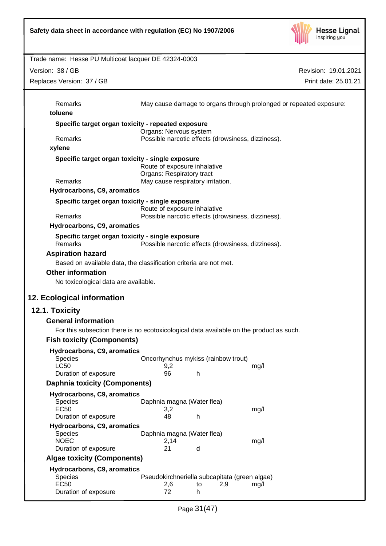

| Trade name: Hesse PU Multicoat lacquer DE 42324-0003                                    |                                    |                                               |                                                                    |
|-----------------------------------------------------------------------------------------|------------------------------------|-----------------------------------------------|--------------------------------------------------------------------|
| Version: 38 / GB                                                                        |                                    |                                               | Revision: 19.01.2021                                               |
| Replaces Version: 37 / GB                                                               |                                    |                                               | Print date: 25.01.21                                               |
|                                                                                         |                                    |                                               |                                                                    |
| Remarks                                                                                 |                                    |                                               | May cause damage to organs through prolonged or repeated exposure: |
| toluene                                                                                 |                                    |                                               |                                                                    |
| Specific target organ toxicity - repeated exposure                                      |                                    |                                               |                                                                    |
| Remarks                                                                                 | Organs: Nervous system             |                                               | Possible narcotic effects (drowsiness, dizziness).                 |
| xylene                                                                                  |                                    |                                               |                                                                    |
| Specific target organ toxicity - single exposure                                        |                                    |                                               |                                                                    |
|                                                                                         | Route of exposure inhalative       |                                               |                                                                    |
|                                                                                         | Organs: Respiratory tract          |                                               |                                                                    |
| Remarks<br>Hydrocarbons, C9, aromatics                                                  |                                    | May cause respiratory irritation.             |                                                                    |
|                                                                                         |                                    |                                               |                                                                    |
| Specific target organ toxicity - single exposure                                        | Route of exposure inhalative       |                                               |                                                                    |
| Remarks                                                                                 |                                    |                                               | Possible narcotic effects (drowsiness, dizziness).                 |
| Hydrocarbons, C9, aromatics                                                             |                                    |                                               |                                                                    |
| Specific target organ toxicity - single exposure<br>Remarks                             |                                    |                                               | Possible narcotic effects (drowsiness, dizziness).                 |
| <b>Aspiration hazard</b>                                                                |                                    |                                               |                                                                    |
| Based on available data, the classification criteria are not met.                       |                                    |                                               |                                                                    |
| <b>Other information</b>                                                                |                                    |                                               |                                                                    |
| No toxicological data are available.                                                    |                                    |                                               |                                                                    |
| 12. Ecological information                                                              |                                    |                                               |                                                                    |
| 12.1. Toxicity                                                                          |                                    |                                               |                                                                    |
| <b>General information</b>                                                              |                                    |                                               |                                                                    |
| For this subsection there is no ecotoxicological data available on the product as such. |                                    |                                               |                                                                    |
| <b>Fish toxicity (Components)</b>                                                       |                                    |                                               |                                                                    |
| Hydrocarbons, C9, aromatics                                                             |                                    |                                               |                                                                    |
| <b>Species</b>                                                                          |                                    | Oncorhynchus mykiss (rainbow trout)           |                                                                    |
| <b>LC50</b>                                                                             | 9,2                                |                                               | mg/l                                                               |
| Duration of exposure                                                                    | 96                                 | h                                             |                                                                    |
| <b>Daphnia toxicity (Components)</b>                                                    |                                    |                                               |                                                                    |
| Hydrocarbons, C9, aromatics<br>Species                                                  | Daphnia magna (Water flea)         |                                               |                                                                    |
| <b>EC50</b>                                                                             | 3,2                                |                                               | mg/l                                                               |
| Duration of exposure                                                                    | 48                                 | h                                             |                                                                    |
| Hydrocarbons, C9, aromatics                                                             |                                    |                                               |                                                                    |
| <b>Species</b><br><b>NOEC</b>                                                           | Daphnia magna (Water flea)<br>2,14 |                                               | mg/l                                                               |
| Duration of exposure                                                                    | 21                                 | d                                             |                                                                    |
| <b>Algae toxicity (Components)</b>                                                      |                                    |                                               |                                                                    |
| Hydrocarbons, C9, aromatics                                                             |                                    |                                               |                                                                    |
| <b>Species</b>                                                                          |                                    | Pseudokirchneriella subcapitata (green algae) |                                                                    |
| <b>EC50</b><br>Duration of exposure                                                     | 2,6<br>72                          | 2,9<br>to<br>h                                | mg/l                                                               |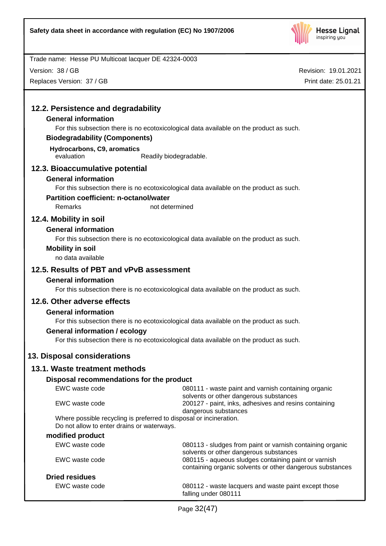

Version: 38 / GB

Replaces Version: 37 / GB

| 12.2. Persistence and degradability                                 |                                                                                                                   |
|---------------------------------------------------------------------|-------------------------------------------------------------------------------------------------------------------|
| <b>General information</b>                                          |                                                                                                                   |
|                                                                     | For this subsection there is no ecotoxicological data available on the product as such.                           |
| <b>Biodegradability (Components)</b>                                |                                                                                                                   |
| Hydrocarbons, C9, aromatics<br>evaluation<br>Readily biodegradable. |                                                                                                                   |
| 12.3. Bioaccumulative potential                                     |                                                                                                                   |
| <b>General information</b>                                          |                                                                                                                   |
|                                                                     | For this subsection there is no ecotoxicological data available on the product as such.                           |
| <b>Partition coefficient: n-octanol/water</b>                       |                                                                                                                   |
| Remarks<br>not determined                                           |                                                                                                                   |
| 12.4. Mobility in soil                                              |                                                                                                                   |
| <b>General information</b>                                          |                                                                                                                   |
|                                                                     | For this subsection there is no ecotoxicological data available on the product as such.                           |
| <b>Mobility in soil</b>                                             |                                                                                                                   |
| no data available                                                   |                                                                                                                   |
| 12.5. Results of PBT and vPvB assessment                            |                                                                                                                   |
| <b>General information</b>                                          |                                                                                                                   |
|                                                                     | For this subsection there is no ecotoxicological data available on the product as such.                           |
| 12.6. Other adverse effects                                         |                                                                                                                   |
| <b>General information</b>                                          |                                                                                                                   |
|                                                                     | For this subsection there is no ecotoxicological data available on the product as such.                           |
| <b>General information / ecology</b>                                |                                                                                                                   |
|                                                                     | For this subsection there is no ecotoxicological data available on the product as such.                           |
| 13. Disposal considerations                                         |                                                                                                                   |
| 13.1. Waste treatment methods                                       |                                                                                                                   |
| Disposal recommendations for the product                            |                                                                                                                   |
| EWC waste code                                                      | 080111 - waste paint and varnish containing organic                                                               |
|                                                                     | solvents or other dangerous substances                                                                            |
| EWC waste code                                                      | 200127 - paint, inks, adhesives and resins containing                                                             |
| Where possible recycling is preferred to disposal or incineration.  | dangerous substances                                                                                              |
| Do not allow to enter drains or waterways.                          |                                                                                                                   |
| modified product                                                    |                                                                                                                   |
| EWC waste code                                                      | 080113 - sludges from paint or varnish containing organic                                                         |
| EWC waste code                                                      | solvents or other dangerous substances                                                                            |
|                                                                     | 080115 - aqueous sludges containing paint or varnish<br>containing organic solvents or other dangerous substances |
| <b>Dried residues</b>                                               |                                                                                                                   |
| EWC waste code                                                      | 080112 - waste lacquers and waste paint except those                                                              |
|                                                                     | falling under 080111                                                                                              |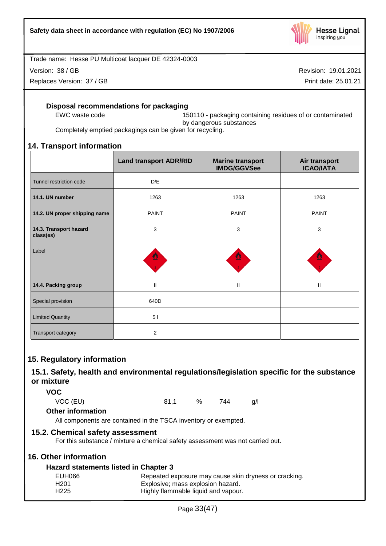

Version: 38 / GB

Replaces Version: 37 / GB

Revision: 19.01.2021

Print date: 25.01.21

# **Disposal recommendations for packaging**

EWC waste code 150110 - packaging containing residues of or contaminated by dangerous substances

Completely emptied packagings can be given for recycling.

# **14. Transport information**

|                                     | <b>Land transport ADR/RID</b> | <b>Marine transport</b><br><b>IMDG/GGVSee</b> | Air transport<br><b>ICAO/IATA</b> |
|-------------------------------------|-------------------------------|-----------------------------------------------|-----------------------------------|
| Tunnel restriction code             | D/E                           |                                               |                                   |
| 14.1. UN number                     | 1263                          | 1263                                          | 1263                              |
| 14.2. UN proper shipping name       | <b>PAINT</b>                  | <b>PAINT</b>                                  | <b>PAINT</b>                      |
| 14.3. Transport hazard<br>class(es) | 3                             | 3                                             | 3                                 |
| Label                               | 썐                             |                                               |                                   |
| 14.4. Packing group                 | $\mathbf{I}$                  | $\mathbf{II}$                                 | $\mathbf{II}$                     |
| Special provision                   | 640D                          |                                               |                                   |
| <b>Limited Quantity</b>             | 51                            |                                               |                                   |
| Transport category                  | $\overline{2}$                |                                               |                                   |

# **15. Regulatory information**

# **15.1. Safety, health and environmental regulations/legislation specific for the substance or mixture**

**VOC**

VOC (EU) 81,1 % 744 g/l

# **Other information**

All components are contained in the TSCA inventory or exempted.

# **15.2. Chemical safety assessment**

For this substance / mixture a chemical safety assessment was not carried out.

# **16. Other information**

# **Hazard statements listed in Chapter 3**

| EUH066           | Repeated exposure may cause skin dryness or cracking. |
|------------------|-------------------------------------------------------|
| H <sub>201</sub> | Explosive; mass explosion hazard.                     |
| H <sub>225</sub> | Highly flammable liquid and vapour.                   |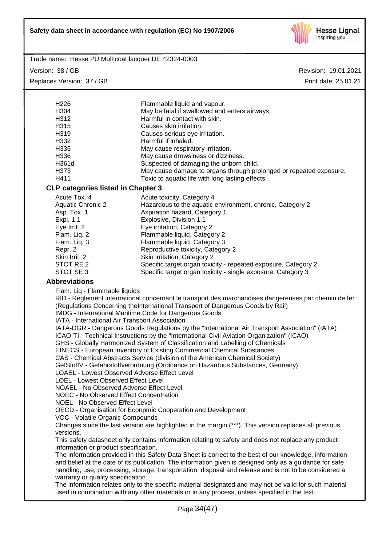

Trade name: Hesse PU Multicoat lacquer DE 42324-0003

Version: 38 / GB

Replaces Version: 37 / GB

| H <sub>226</sub>                                                                               | Flammable liquid and vapour.                                                                             |  |  |
|------------------------------------------------------------------------------------------------|----------------------------------------------------------------------------------------------------------|--|--|
| H304                                                                                           | May be fatal if swallowed and enters airways.                                                            |  |  |
| H312                                                                                           | Harmful in contact with skin.                                                                            |  |  |
| H315                                                                                           | Causes skin irritation.                                                                                  |  |  |
| H319                                                                                           | Causes serious eye irritation.                                                                           |  |  |
| H332                                                                                           | Harmful if inhaled.                                                                                      |  |  |
|                                                                                                |                                                                                                          |  |  |
| H <sub>335</sub>                                                                               | May cause respiratory irritation.                                                                        |  |  |
| H336                                                                                           | May cause drowsiness or dizziness.                                                                       |  |  |
| H361d                                                                                          | Suspected of damaging the unborn child.                                                                  |  |  |
| H373                                                                                           | May cause damage to organs through prolonged or repeated exposure.                                       |  |  |
| H411                                                                                           | Toxic to aquatic life with long lasting effects.                                                         |  |  |
| <b>CLP categories listed in Chapter 3</b>                                                      |                                                                                                          |  |  |
| Acute Tox. 4                                                                                   | Acute toxicity, Category 4                                                                               |  |  |
| <b>Aquatic Chronic 2</b>                                                                       | Hazardous to the aquatic environment, chronic, Category 2                                                |  |  |
| Asp. Tox. 1                                                                                    | Aspiration hazard, Category 1                                                                            |  |  |
| Expl. 1.1                                                                                      | Explosive, Division 1.1                                                                                  |  |  |
| Eye Irrit. 2                                                                                   | Eye irritation, Category 2                                                                               |  |  |
| Flam. Liq. 2                                                                                   | Flammable liquid, Category 2                                                                             |  |  |
| Flam. Liq. 3                                                                                   |                                                                                                          |  |  |
|                                                                                                | Flammable liquid, Category 3                                                                             |  |  |
| Repr. 2                                                                                        | Reproductive toxicity, Category 2                                                                        |  |  |
| Skin Irrit. 2                                                                                  | Skin irritation, Category 2                                                                              |  |  |
| STOT RE 2                                                                                      | Specific target organ toxicity - repeated exposure, Category 2                                           |  |  |
| STOT SE 3                                                                                      | Specific target organ toxicity - single exposure, Category 3                                             |  |  |
| <b>Abbreviations</b>                                                                           |                                                                                                          |  |  |
| Flam. Liq - Flammable liquids                                                                  |                                                                                                          |  |  |
|                                                                                                | RID - Règlement international concernant le transport des marchandises dangereuses par chemin de fer     |  |  |
|                                                                                                | (Regulations Concerning theInternational Transport of Dangerous Goods by Rail)                           |  |  |
|                                                                                                | <b>IMDG</b> - International Maritime Code for Dangerous Goods                                            |  |  |
| IATA - International Air Transport Association                                                 |                                                                                                          |  |  |
| IATA-DGR - Dangerous Goods Regulations by the "International Air Transport Association" (IATA) |                                                                                                          |  |  |
|                                                                                                |                                                                                                          |  |  |
|                                                                                                | ICAO-TI - Technical Instructions by the "International Civil Aviation Organization" (ICAO)               |  |  |
|                                                                                                | GHS - Globally Harmonized System of Classification and Labelling of Chemicals                            |  |  |
|                                                                                                | EINECS - European Inventory of Existing Commercial Chemical Substances                                   |  |  |
|                                                                                                | CAS - Chemical Abstracts Service (division of the American Chemical Society)                             |  |  |
|                                                                                                | GefStoffV - Gefahrstoffverordnung (Ordinance on Hazardous Substances, Germany)                           |  |  |
| <b>LOAEL - Lowest Observed Adverse Effect Level</b>                                            |                                                                                                          |  |  |
| LOEL - Lowest Observed Effect Level                                                            |                                                                                                          |  |  |
| NOAEL - No Observed Adverse Effect Level                                                       |                                                                                                          |  |  |
| NOEC - No Observed Effect Concentration                                                        |                                                                                                          |  |  |
| NOEL - No Observed Effect Level                                                                |                                                                                                          |  |  |
|                                                                                                | OECD - Organisation for Econpmic Cooperation and Development                                             |  |  |
| VOC - Volatile Organic Compounds                                                               |                                                                                                          |  |  |
|                                                                                                | Changes since the last version are highlighted in the margin (***). This version replaces all previous   |  |  |
| versions.                                                                                      |                                                                                                          |  |  |
|                                                                                                | This safety datasheet only contains information relating to safety and does not replace any product      |  |  |
| information or product specification.                                                          |                                                                                                          |  |  |
|                                                                                                | The information provided in this Safety Data Sheet is correct to the best of our knowledge, information  |  |  |
|                                                                                                | and belief at the date of its publication. The information given is designed only as a guidance for safe |  |  |
|                                                                                                | handling, use, processing, storage, transportation, disposal and release and is not to be considered a   |  |  |
| warranty or quality specification.                                                             |                                                                                                          |  |  |
|                                                                                                | The information relates only to the specific material designated and may not be valid for such material  |  |  |
|                                                                                                | used in combination with any other materials or in any process, unless specified in the text.            |  |  |
|                                                                                                |                                                                                                          |  |  |
|                                                                                                | Page 34(47)                                                                                              |  |  |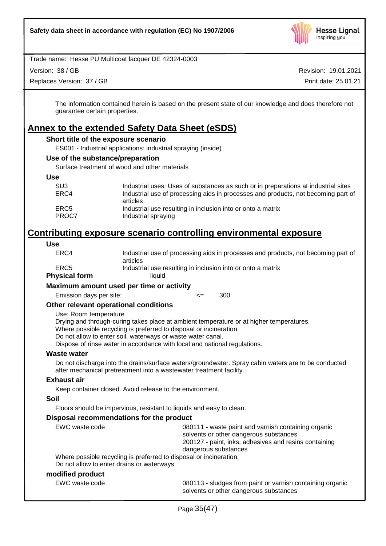

Version: 38 / GB

Replaces Version: 37 / GB

Revision: 19.01.2021 Print date: 25.01.21

The information contained herein is based on the present state of our knowledge and does therefore not guarantee certain properties.

# **Annex to the extended Safety Data Sheet (eSDS)**

# **Short title of the exposure scenario**

ES001 - Industrial applications: industrial spraying (inside)

#### **Use of the substance/preparation**

Surface treatment of wood and other materials

**Use**

| SU <sub>3</sub>  | Industrial uses: Uses of substances as such or in preparations at industrial sites |
|------------------|------------------------------------------------------------------------------------|
| ERC4             | Industrial use of processing aids in processes and products, not becoming part of  |
|                  | articles                                                                           |
| ERC <sub>5</sub> | Industrial use resulting in inclusion into or onto a matrix                        |
| PROC7            | Industrial spraying                                                                |
|                  |                                                                                    |

# **Contributing exposure scenario controlling environmental exposure**

#### **Use**

| Use                                   |                                                                                                                                                                                |
|---------------------------------------|--------------------------------------------------------------------------------------------------------------------------------------------------------------------------------|
| ERC4                                  | Industrial use of processing aids in processes and products, not becoming part of<br>articles                                                                                  |
| ERC <sub>5</sub>                      | Industrial use resulting in inclusion into or onto a matrix                                                                                                                    |
| <b>Physical form</b>                  | liquid                                                                                                                                                                         |
|                                       | Maximum amount used per time or activity                                                                                                                                       |
| Emission days per site:               | 300<br><=                                                                                                                                                                      |
| Other relevant operational conditions |                                                                                                                                                                                |
| Use: Room temperature                 |                                                                                                                                                                                |
|                                       | Drying and through-curing takes place at ambient temperature or at higher temperatures.                                                                                        |
|                                       | Where possible recycling is preferred to disposal or incineration.                                                                                                             |
|                                       | Do not allow to enter soil, waterways or waste water canal.                                                                                                                    |
|                                       | Dispose of rinse water in accordance with local and national regulations.                                                                                                      |
| <b>Waste water</b>                    |                                                                                                                                                                                |
|                                       | Do not discharge into the drains/surface waters/groundwater. Spray cabin waters are to be conducted<br>after mechanical pretreatment into a wastewater treatment facility.     |
| <b>Exhaust air</b>                    |                                                                                                                                                                                |
|                                       | Keep container closed. Avoid release to the environment.                                                                                                                       |
| <b>Soil</b>                           |                                                                                                                                                                                |
|                                       | Floors should be impervious, resistant to liquids and easy to clean.                                                                                                           |
|                                       | Disposal recommendations for the product                                                                                                                                       |
| <b>EWC</b> waste code                 | 080111 - waste paint and varnish containing organic<br>solvents or other dangerous substances<br>200127 - paint, inks, adhesives and resins containing<br>dangerous substances |
|                                       | Where possible recycling is preferred to disposal or incineration.<br>Do not allow to enter drains or waterways.                                                               |
| modified product                      |                                                                                                                                                                                |
| EWC waste code                        | 080113 - sludges from paint or varnish containing organic<br>solvents or other dangerous substances                                                                            |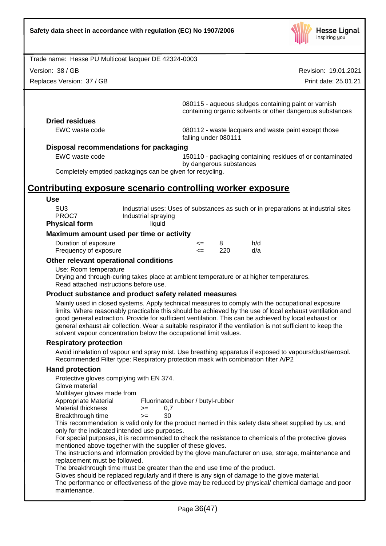

Version: 38 / GB

Replaces Version: 37 / GB

Revision: 19.01.2021

Print date: 25.01.21

080115 - aqueous sludges containing paint or varnish containing organic solvents or other dangerous substances

# **Dried residues**

EWC waste code 080112 - waste lacquers and waste paint except those falling under 080111

#### **Disposal recommendations for packaging**

EWC waste code 150110 - packaging containing residues of or contaminated by dangerous substances

Completely emptied packagings can be given for recycling.

# **Contributing exposure scenario controlling worker exposure**

| Use                  |                                                                                    |
|----------------------|------------------------------------------------------------------------------------|
| SU <sub>3</sub>      | Industrial uses: Uses of substances as such or in preparations at industrial sites |
| PROC7                | Industrial spraying                                                                |
| <b>Physical form</b> | liauid                                                                             |

#### **Maximum amount used per time or activity**

| Duration of exposure  | <= |     | h/d |
|-----------------------|----|-----|-----|
| Frequency of exposure |    | 220 | d/a |

#### **Other relevant operational conditions**

#### Use: Room temperature

Drying and through-curing takes place at ambient temperature or at higher temperatures. Read attached instructions before use.

#### **Product substance and product safety related measures**

Mainly used in closed systems. Apply technical measures to comply with the occupational exposure limits. Where reasonably practicable this should be achieved by the use of local exhaust ventilation and good general extraction. Provide for sufficient ventilation. This can be achieved by local exhaust or general exhaust air collection. Wear a suitable respirator if the ventilation is not sufficient to keep the solvent vapour concentration below the occupational limit values.

#### **Respiratory protection**

Avoid inhalation of vapour and spray mist. Use breathing apparatus if exposed to vapours/dust/aerosol. Recommended Filter type: Respiratory protection mask with combination filter A/P2

#### **Hand protection**

Protective gloves complying with EN 374. Glove material Multilayer gloves made from<br>Appropriate Material Fluorinated rubber / butyl-rubber Material thickness  $> = 0.7$ Breakthrough time >= 30 This recommendation is valid only for the product named in this safety data sheet supplied by us, and only for the indicated intended use purposes. For special purposes, it is recommended to check the resistance to chemicals of the protective gloves mentioned above together with the supplier of these gloves. The instructions and information provided by the glove manufacturer on use, storage, maintenance and replacement must be followed. The breakthrough time must be greater than the end use time of the product. Gloves should be replaced regularly and if there is any sign of damage to the glove material.

The performance or effectiveness of the glove may be reduced by physical/ chemical damage and poor maintenance.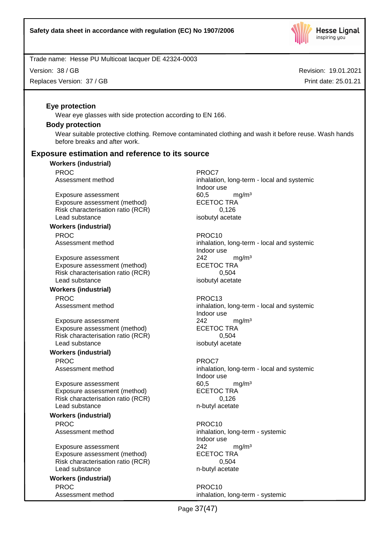

Version: 38 / GB

Replaces Version: 37 / GB

Revision: 19.01.2021 Print date: 25.01.21

# **Eye protection**

Wear eye glasses with side protection according to EN 166.

#### **Body protection**

Wear suitable protective clothing. Remove contaminated clothing and wash it before reuse. Wash hands before breaks and after work.

# **Exposure estimation and reference to its source**

# **Workers (industrial)**

PROC<sup>P</sup> PROC7

Exposure assessment and the control of the formulation of the formulation of the formulation of the formulatio<br>
ECETOC TRA Exposure assessment (method) Risk characterisation ratio (RCR) 0,126 Lead substance isobutyl acetate

#### **Workers (industrial)** PROC PROC10

Exposure assessment 242 mg/m<sup>3</sup> Exposure assessment (method) ECETOC TRA Risk characterisation ratio (RCR) 0,504 Lead substance isobutyl acetate

#### **Workers (industrial)** PROC PROC13

Exposure assessment 242 mg/m<sup>3</sup> Exposure assessment (method) ECETOC TRA Risk characterisation ratio (RCR) 0,504 Lead substance isobutyl acetate

#### **Workers (industrial)**

PROC<sup>P</sup> PROCT PROCT

Exposure assessment 60,5 mg/m<sup>3</sup> Exposure assessment (method) ECETOC TRA Risk characterisation ratio (RCR) 0,126 Lead substance n-butyl acetate

#### **Workers (industrial)** PROC PROC10

Exposure assessment 242 mg/m<sup>3</sup> Exposure assessment (method) ECETOC TRA Risk characterisation ratio (RCR) 0,504 Lead substance n-butyl acetate

# **Workers (industrial)** PROC PROC10

Assessment method inhalation, long-term - local and systemic Indoor use

Assessment method inhalation, long-term - local and systemic Indoor use

Assessment method inhalation, long-term - local and systemic Indoor use

Assessment method inhalation, long-term - local and systemic Indoor use

Assessment method inhalation, long-term - systemic Indoor use

Assessment method inhalation, long-term - systemic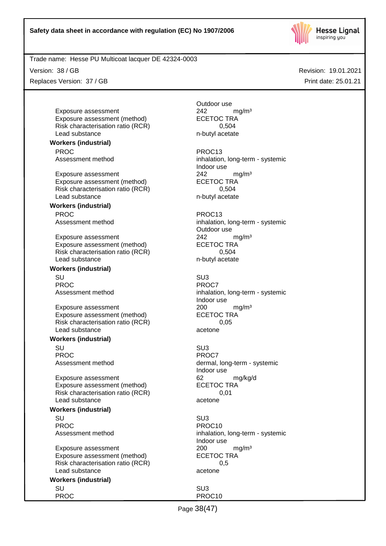

Version: 38 / GB

Replaces Version: 37 / GB

Revision: 19.01.2021 Print date: 25.01.21

Exposure assessment <br>
Exposure assessment (method) 
<br>
ECETOC TRA Exposure assessment (method) Risk characterisation ratio (RCR) 0,504 Lead substance n-butyl acetate

#### **Workers (industrial)**

PROC PROC13

Exposure assessment <br>
Exposure assessment (method) 
<br>
ECETOC TRA Exposure assessment (method) Risk characterisation ratio (RCR) 6.504 Lead substance n-butyl acetate

#### **Workers (industrial)** PROC PROC13

Exposure assessment 242 mg/m<sup>3</sup> Exposure assessment (method) ECETOC TRA Risk characterisation ratio (RCR) 0,504 Lead substance n-butyl acetate

# **Workers (industrial)**

SU SU3 PROC<sup>P</sup> PROCT

Exposure assessment 200 mg/m<sup>3</sup> Exposure assessment (method) ECETOC TRA Risk characterisation ratio (RCR) 0,05 Lead substance acetone

#### **Workers (industrial)**

SU SU3 PROC<sup>PROC</sup> PROCT

Exposure assessment details are to the control of the exposure assessment (method) and the CETOC TRA control of the exponent of the ECETOC TRA control of the exponent of the exponent of the exponent of the exponent of the Exposure assessment (method) Risk characterisation ratio (RCR) 0,01 Lead substance acetone

#### **Workers (industrial)**

SU SU3 PROC PROCTER PROCTER PROCTER PROCTER PROCTER PROCTER PROCTER PROCTER PROCTER PROCTER PROCTER PROCTER PROCTER P

Exposure assessment and the 200 mg/m<sup>3</sup> Exposure assessment (method) ECETOC TRA Risk characterisation ratio (RCR) 0,5 Lead substance acetone

#### **Workers (industrial)** SU SU3

PROC PROCTES PROCTES

Outdoor use

Assessment method inhalation, long-term - systemic Indoor use

Assessment method inhalation, long-term - systemic Outdoor use

Assessment method inhalation, long-term - systemic Indoor use

Assessment method dermal, long-term - systemic Indoor use

Assessment method inhalation, long-term - systemic Indoor use

Page 38(47)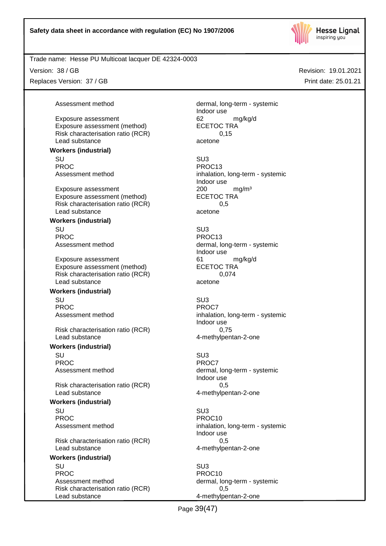

Version: 38 / GB

Replaces Version: 37 / GB

Assessment method dermal, long-term - systemic Indoor use Exposure assessment and the control of the control of the control of the control of the control of the control o<br>
ECETOC TRA Risk characterisation ratio (RCR) 6.15

Indoor use

Lead substance acetone **Workers (industrial)**

SU SU3 PROC PROCTER PROCTS Assessment method inhalation, long-term - systemic

Exposure assessment <br>
Exposure assessment (method) 
<br>
ECETOC TRA Exposure assessment (method) Risk characterisation ratio (RCR) 6.5 Lead substance acetone

Exposure assessment (method)

**Workers (industrial)**

SU SU3 PROC PROC13

Exposure assessment 61 mg/kg/d Exposure assessment (method) ECETOC TRA Risk characterisation ratio (RCR) 0,074 Lead substance acetone

#### **Workers (industrial)**

SU SU3 PROC<sup>PROC</sup> PROCT

Risk characterisation ratio (RCR) 0,75 Lead substance **4-methylpentan-2-one** 

#### **Workers (industrial)**

SU SU3 PROC<sup>PROC</sup> PROCT

Risk characterisation ratio (RCR) 0,5 Lead substance and the 4-methylpentan-2-one

#### **Workers (industrial)**

SU SU3 PROC PROCTER PROCTER PROCTER PROCTER PROCTER PROCTER PROCTER PROCTER PROCTER PROCTER PROCTER PROCTER PROCTER PROCTER PROCTER PROCTER PROCTER PROCTER PROCTER PROCTER PROCTER PROCTER PROCTER PROCTER PROCTER PROCTER PROCTER P

Risk characterisation ratio (RCR) 0,5 Lead substance and the 4-methylpentan-2-one

# **Workers (industrial)**

SU SU3 PROC PROCTES PROCTES Assessment method dermal, long-term - systemic Risk characterisation ratio (RCR) 0,5 Lead substance and the 4-methylpentan-2-one

Assessment method dermal, long-term - systemic Indoor use

Assessment method inhalation, long-term - systemic Indoor use

Assessment method dermal, long-term - systemic Indoor use

Assessment method inhalation, long-term - systemic Indoor use

Page 39(47)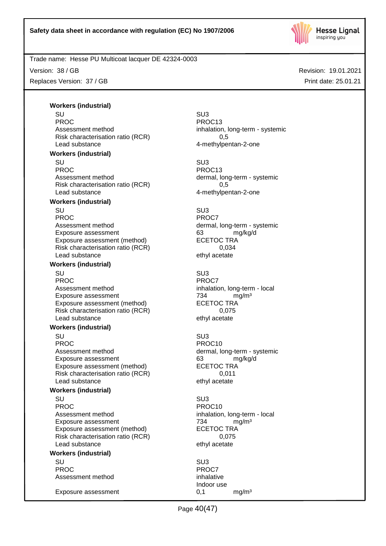

Version: 38 / GB

Replaces Version: 37 / GB

Revision: 19.01.2021 Print date: 25.01.21

**Workers (industrial)**

SU SU3 PROC PROC13<br>Assessment method by a proportional proportion of the proportion of the proportion of the proportion of the P<br>Assessment method by a proportion of the proportion of the proportion of the proportion of the PROC1 Risk characterisation ratio (RCR) 0,5 Lead substance and the 4-methylpentan-2-one

#### **Workers (industrial)**

SU SU3 PROC PROC13 Assessment method dermal, long-term - systemic Risk characterisation ratio (RCR) 0,5 Lead substance and the 4-methylpentan-2-one

#### **Workers (industrial)**

SU SU3 PROC PROC7<br>Assessment method by the contract of the dermal, Exposure assessment and the control of the control of the manufacture of the manufacture of the control of the<br>
ECETOC TRA Exposure assessment (method) Risk characterisation ratio (RCR) 0,034 Lead substance ethyl acetate

#### **Workers (industrial)**

SU SU3 PROC<sup>PROC</sup> PROC7 Assessment method inhalation, long-term - local Exposure assessment <br>Exposure assessment (method) ECETOC TRA Exposure assessment (method) Risk characterisation ratio (RCR) 0,075 Lead substance ethyl acetate

### **Workers (industrial)**

SU SU3 PROC PROCTER PROCTER PROCTER PROCTER PROCTER PROCTER PROCTER PROCTER PROCTER PROCTER PROCTER PROCTER PROCTER PROCTER PROCTER PROCTER PROCTER PROCTER PROCTER PROCTER PROCTER PROCTER PROCTER PROCTER PROCTER PROCTER PROCTER P Assessment method dermal, long-term - systemic Exposure assessment and the control of the control of the control of the control of the control of the control o<br>
ECETOC TRA Exposure assessment (method) Risk characterisation ratio (RCR) 0,011 Lead substance ethyl acetate

#### **Workers (industrial)**

SU SU3 PROC PROCTER PROCTER PROCTER PROCTER PROCTER PROCTER PROCTER PROCTER PROCTER PROCTER PROCTER PROCTER PROCTER PROCTER PROCTER PROCTER PROCTER PROCTER PROCTER PROCTER PROCTER PROCTER PROCTER PROCTER PROCTER PROCTER PROCTER P Assessment method inhalation, long-term - local Exposure assessment <br>
Exposure assessment (method) 
FEGETOC TRA Exposure assessment (method) Risk characterisation ratio (RCR) 0,075 Lead substance ethyl acetate

#### **Workers (industrial)**

SU SU3 PROC<sup>P</sup> PROCT Assessment method inhalative

Exposure assessment 0,1 mg/m³

inhalation, long-term - systemic

dermal, long-term - systemic

Indoor use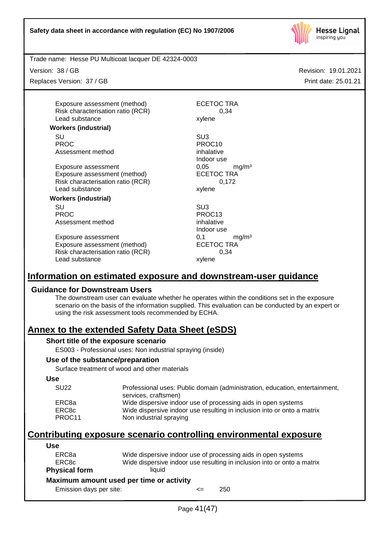

Version: 38 / GB

Replaces Version: 37 / GB

Exposure assessment (method) ECETOC TRA Risk characterisation ratio (RCR) 0,34<br>Lead substance xylene Lead substance

#### **Workers (industrial)**

SU SU3 PROC PROC10 Assessment method inhalative

Exposure assessment <br>
Exposure assessment (method) 
ECETOC TRA Exposure assessment (method) Risk characterisation ratio (RCR) 0,172 Lead substance xylene

# **Workers (industrial)**

SU SU3 PROC PROC13 Assessment method inhalative

Exposure assessment 0,1 mg/m<sup>3</sup> Exposure assessment (method) ECETOC TRA Risk characterisation ratio (RCR) 0,34<br>Lead substance xylene Lead substance

Indoor use

Indoor use

# **Information on estimated exposure and downstream-user guidance**

# **Guidance for Downstream Users**

The downstream user can evaluate whether he operates within the conditions set in the exposure scenario on the basis of the information supplied. This evaluation can be conducted by an expert or using the risk assessment tools recommended by ECHA.

# **Annex to the extended Safety Data Sheet (eSDS)**

# **Short title of the exposure scenario**

ES003 - Professional uses: Non industrial spraying (inside)

# **Use of the substance/preparation**

Surface treatment of wood and other materials

#### **Use**

| <b>SU22</b> | Professional uses: Public domain (administration, education, entertainment,<br>services, craftsmen) |
|-------------|-----------------------------------------------------------------------------------------------------|
| ERC8a       | Wide dispersive indoor use of processing aids in open systems                                       |
| ERC8c       | Wide dispersive indoor use resulting in inclusion into or onto a matrix                             |
| PROC11      | Non industrial spraying                                                                             |

# **Contributing exposure scenario controlling environmental exposure**

# **Use**

| ERC8a<br>ERC8c                           | Wide dispersive indoor use of processing aids in open systems<br>Wide dispersive indoor use resulting in inclusion into or onto a matrix |        |     |  |
|------------------------------------------|------------------------------------------------------------------------------------------------------------------------------------------|--------|-----|--|
| <b>Physical form</b>                     | liauid                                                                                                                                   |        |     |  |
| Maximum amount used per time or activity |                                                                                                                                          |        |     |  |
| Emission days per site:                  |                                                                                                                                          | $\leq$ | 250 |  |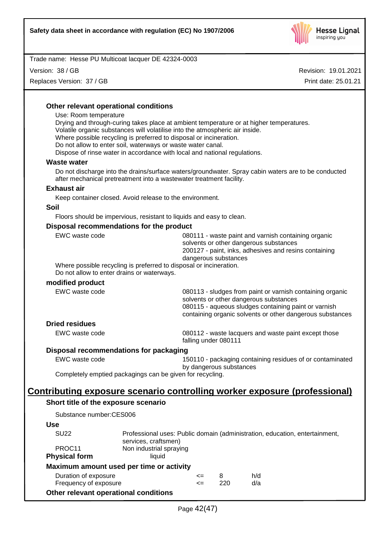

Version: 38 / GB

Replaces Version: 37 / GB

Revision: 19.01.2021 Print date: 25.01.21

|  | Other relevant operational conditions                                                                                                                                                            |                                                                                                                                                                                |  |
|--|--------------------------------------------------------------------------------------------------------------------------------------------------------------------------------------------------|--------------------------------------------------------------------------------------------------------------------------------------------------------------------------------|--|
|  | Use: Room temperature<br>Drying and through-curing takes place at ambient temperature or at higher temperatures.<br>Volatile organic substances will volatilise into the atmospheric air inside. |                                                                                                                                                                                |  |
|  | Where possible recycling is preferred to disposal or incineration.                                                                                                                               |                                                                                                                                                                                |  |
|  | Do not allow to enter soil, waterways or waste water canal.                                                                                                                                      |                                                                                                                                                                                |  |
|  | Dispose of rinse water in accordance with local and national regulations.                                                                                                                        |                                                                                                                                                                                |  |
|  | <b>Waste water</b>                                                                                                                                                                               |                                                                                                                                                                                |  |
|  | Do not discharge into the drains/surface waters/groundwater. Spray cabin waters are to be conducted<br>after mechanical pretreatment into a wastewater treatment facility.                       |                                                                                                                                                                                |  |
|  | <b>Exhaust air</b>                                                                                                                                                                               |                                                                                                                                                                                |  |
|  | Keep container closed. Avoid release to the environment.                                                                                                                                         |                                                                                                                                                                                |  |
|  | <b>Soil</b>                                                                                                                                                                                      |                                                                                                                                                                                |  |
|  | Floors should be impervious, resistant to liquids and easy to clean.                                                                                                                             |                                                                                                                                                                                |  |
|  | Disposal recommendations for the product                                                                                                                                                         |                                                                                                                                                                                |  |
|  | EWC waste code                                                                                                                                                                                   | 080111 - waste paint and varnish containing organic<br>solvents or other dangerous substances<br>200127 - paint, inks, adhesives and resins containing<br>dangerous substances |  |
|  | Where possible recycling is preferred to disposal or incineration.<br>Do not allow to enter drains or waterways.                                                                                 |                                                                                                                                                                                |  |
|  | modified product                                                                                                                                                                                 |                                                                                                                                                                                |  |
|  | EWC waste code                                                                                                                                                                                   | 080113 - sludges from paint or varnish containing organic<br>solvents or other dangerous substances                                                                            |  |
|  |                                                                                                                                                                                                  | 080115 - aqueous sludges containing paint or varnish<br>containing organic solvents or other dangerous substances                                                              |  |
|  | <b>Dried residues</b>                                                                                                                                                                            |                                                                                                                                                                                |  |
|  | EWC waste code                                                                                                                                                                                   | 080112 - waste lacquers and waste paint except those<br>falling under 080111                                                                                                   |  |
|  | Disposal recommendations for packaging                                                                                                                                                           |                                                                                                                                                                                |  |
|  | EWC waste code                                                                                                                                                                                   | 150110 - packaging containing residues of or contaminated<br>by dangerous substances                                                                                           |  |
|  | Completely emptied packagings can be given for recycling.                                                                                                                                        |                                                                                                                                                                                |  |
|  |                                                                                                                                                                                                  |                                                                                                                                                                                |  |
|  |                                                                                                                                                                                                  | <u>Contributing exposure scenario controlling worker exposure (professional)</u>                                                                                               |  |
|  | Short title of the exposure scenario                                                                                                                                                             |                                                                                                                                                                                |  |

Substance number:CES006

# **Use**

| <b>SU22</b>                              | services, craftsmen)    |        |     | Professional uses: Public domain (administration, education, entertainment, |
|------------------------------------------|-------------------------|--------|-----|-----------------------------------------------------------------------------|
| PROC <sub>11</sub>                       | Non industrial spraying |        |     |                                                                             |
| <b>Physical form</b><br>liauid           |                         |        |     |                                                                             |
| Maximum amount used per time or activity |                         |        |     |                                                                             |
| Duration of exposure                     |                         | $\leq$ | 8   | h/d                                                                         |
| Frequency of exposure                    |                         | $\leq$ | 220 | d/a                                                                         |
| Other relevant operational conditions    |                         |        |     |                                                                             |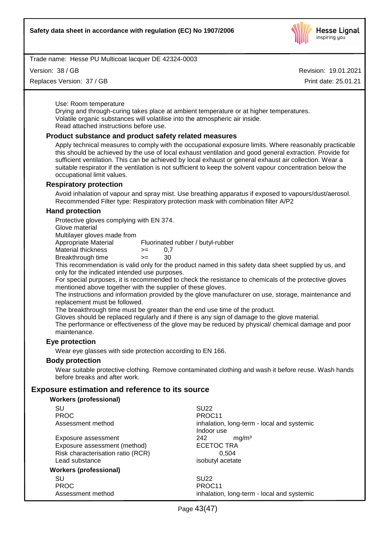

Version: 38 / GB

Replaces Version: 37 / GB

Revision: 19.01.2021 Print date: 25.01.21

Use: Room temperature

Drying and through-curing takes place at ambient temperature or at higher temperatures. Volatile organic substances will volatilise into the atmospheric air inside. Read attached instructions before use.

#### **Product substance and product safety related measures**

Apply technical measures to comply with the occupational exposure limits. Where reasonably practicable this should be achieved by the use of local exhaust ventilation and good general extraction. Provide for sufficient ventilation. This can be achieved by local exhaust or general exhaust air collection. Wear a suitable respirator if the ventilation is not sufficient to keep the solvent vapour concentration below the occupational limit values.

#### **Respiratory protection**

Avoid inhalation of vapour and spray mist. Use breathing apparatus if exposed to vapours/dust/aerosol. Recommended Filter type: Respiratory protection mask with combination filter A/P2

#### **Hand protection**

Protective gloves complying with EN 374.

Glove material

Multilayer gloves made from

Appropriate Material Fluorinated rubber / butyl-rubber

- Material thickness  $> = 0.7$
- Breakthrough time >= 30

This recommendation is valid only for the product named in this safety data sheet supplied by us, and only for the indicated intended use purposes.

For special purposes, it is recommended to check the resistance to chemicals of the protective gloves mentioned above together with the supplier of these gloves.

The instructions and information provided by the glove manufacturer on use, storage, maintenance and replacement must be followed.

The breakthrough time must be greater than the end use time of the product.

Gloves should be replaced regularly and if there is any sign of damage to the glove material.

The performance or effectiveness of the glove may be reduced by physical/ chemical damage and poor maintenance.

#### **Eye protection**

Wear eye glasses with side protection according to EN 166.

#### **Body protection**

Wear suitable protective clothing. Remove contaminated clothing and wash it before reuse. Wash hands before breaks and after work.

# **Exposure estimation and reference to its source**

#### **Workers (professional)**

| SU                                | <b>SU22</b>                                              |  |  |
|-----------------------------------|----------------------------------------------------------|--|--|
| <b>PROC</b>                       | PROC <sub>11</sub>                                       |  |  |
| Assessment method                 | inhalation, long-term - local and systemic<br>Indoor use |  |  |
| Exposure assessment               | 242<br>mq/m <sup>3</sup>                                 |  |  |
| Exposure assessment (method)      | <b>ECETOC TRA</b>                                        |  |  |
| Risk characterisation ratio (RCR) | 0.504                                                    |  |  |
| Lead substance                    | isobutyl acetate                                         |  |  |
| Workers (professional)            |                                                          |  |  |
| SU                                | SU <sub>22</sub>                                         |  |  |
| <b>PROC</b>                       | PROC <sub>11</sub>                                       |  |  |
| Assessment method                 | inhalation, long-term - local and systemic               |  |  |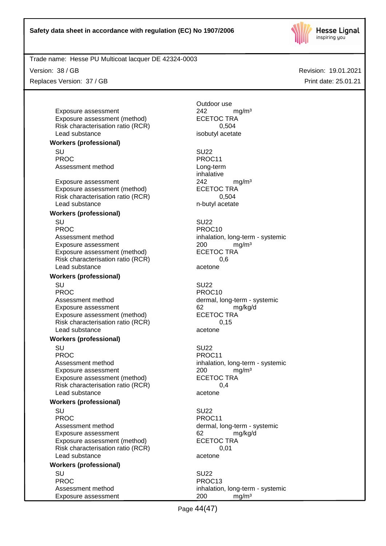

Version: 38 / GB

Replaces Version: 37 / GB

Exposure assessment <br>
Exposure assessment (method) 
<br>
ECETOC TRA Exposure assessment (method) Risk characterisation ratio (RCR) 0,504 Lead substance isobutyl acetate

**Workers (professional)**

SU SU22 PROC PROC11 Assessment method Long-term

Exposure assessment <br>
Exposure assessment (method) 
<br>
EXPOSURE ASSESSMENT CONTRA Exposure assessment (method) Risk characterisation ratio (RCR) 0,504 Lead substance n-butyl acetate

## **Workers (professional)**

SU SU22 PROC PROC10 Assessment method inhalation, long-term - systemic Exposure assessment <br>
Exposure assessment (method) 
<br>
ECETOC TRA Exposure assessment (method) Risk characterisation ratio (RCR) 0.6 Lead substance acetone

#### **Workers (professional)**

SU SU22 PROC PROCTES PROCTES Assessment method dermal, long-term - systemic Exposure assessment 62 mg/kg/d Exposure assessment (method) ECETOC TRA Risk characterisation ratio (RCR) 0,15 Lead substance acetone

#### **Workers (professional)**

SU SU22 PROC<br>
Assessment method<br>
Assessment method<br>  $\blacksquare$ Exposure assessment <br>
Exposure assessment (method) 
<br>
ECETOC TRA Exposure assessment (method) Risk characterisation ratio (RCR) 0,4 Lead substance acetone

#### **Workers (professional)**

SU SU22 PROC PROCTER PROCTER PROCTER PROCTER PROCTER PROCTER PROCTER PROCTER PROCTER PROCTER PROCTER PROCTER PROCTER PROCTER PROCTER PROCTER PROCTER PROCTER PROCTER PROCTER PROCTER PROCTER PROCTER PROCTER PROCTER PROCTER PROCTER P Assessment method dermal, long-term - systemic Exposure assessment 62 mg/kg/d Exposure assessment (method) ECETOC TRA Risk characterisation ratio (RCR) 0,01 Lead substance acetone

#### **Workers (professional)**

SU SU22 PROC PROC13 Exposure assessment 200 mg/m<sup>3</sup>

Outdoor use

inhalative

inhalation, long-term - systemic

Assessment method inhalation, long-term - systemic

Page 44(47)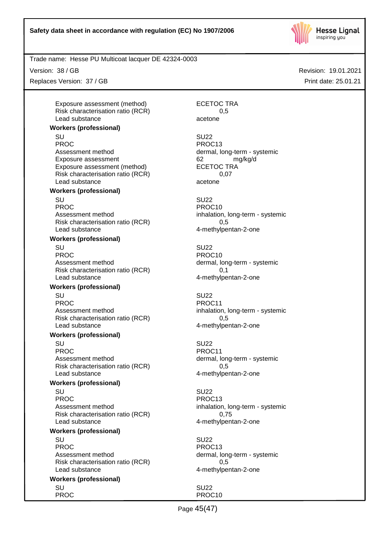

Version: 38 / GB

Replaces Version: 37 / GB

Exposure assessment (method) ECETOC TRA Risk characterisation ratio (RCR) 6.5 Lead substance acetone

#### **Workers (professional)**

SU SU22 PROC PROC13 Assessment method dermal, long-term - systemic Exposure assessment and the control of the control of the manuform of the manuform of the control of the manufo<br>
ECETOC TRA Exposure assessment (method) Risk characterisation ratio (RCR) 0,07 Lead substance acetone

## **Workers (professional)**

SU SU22 PROC PROCTER PROCTER PROCTER PROCTER PROCTER PROCTER PROCTER PROCTER PROCTER PROCTER PROCTER PROCTER PROCTER PROCTER PROCTER PROCTER PROCTER PROCTER PROCTER PROCTER PROCTER PROCTER PROCTER PROCTER PROCTER PROCTER PROCTER P Assessment method inhalation, long-term - systemic Risk characterisation ratio (RCR) 0.5 Lead substance and the 4-methylpentan-2-one

#### **Workers (professional)**

SU SU22 PROC PROC10 Assessment method dermal, long-term - systemic Risk characterisation ratio (RCR) 0,1 Lead substance and the 4-methylpentan-2-one

## **Workers (professional)**

SU SU22 PROC PROCHES PROCHES PROCHES PROCHES Assessment method inhalation, long-term - systemic Risk characterisation ratio (RCR) 0,5 Lead substance and the 4-methylpentan-2-one

#### **Workers (professional)**

SU SU22 PROC PROCHES PROCHES PROCHES PROCHES PROCHES PROCHES PROCHES PROCHES PROCHES PROCHES PROCHES PROCHES PROCHES PROCHES PROCHES PROCHES PROCHES PROCHES PROCHES PROCHES PROCHES PROCHES PROCHES PROCHES PROCHES PROCHES PROCHES P Assessment method dermal, long-term - systemic Risk characterisation ratio (RCR) 0,5 Lead substance and the 4-methylpentan-2-one

#### **Workers (professional)**

SU SU22 PROC PROC13 Assessment method inhalation, long-term - systemic Risk characterisation ratio (RCR) 0,75 Lead substance and the 4-methylpentan-2-one

#### **Workers (professional)**

SU SU22 PROC PROC13 Assessment method dermal, long-term - systemic Risk characterisation ratio (RCR) 0,5 Lead substance and the 4-methylpentan-2-one

### **Workers (professional)**

Revision: 19.01.2021 Print date: 25.01.21

SU SU22 PROC PROCTES PROCTES

Page 45(47)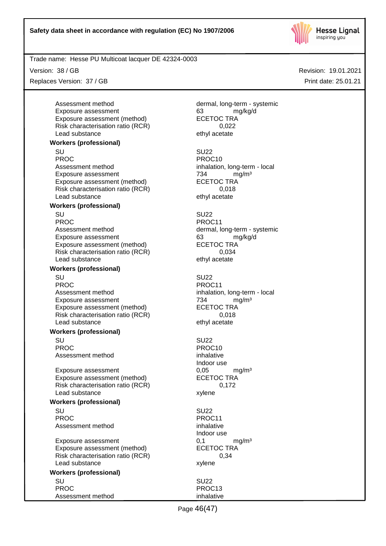

Version: 38 / GB

Replaces Version: 37 / GB

Assessment method dermal, long-term - systemic Exposure assessment and the control of the formulation of the formulation of the formulation of the formulatio<br>
ECETOC TRA Exposure assessment (method) Risk characterisation ratio (RCR) 0,022 Lead substance ethyl acetate

#### **Workers (professional)**

SU SU22 PROC PROCTES PROCTES Assessment method inhalation, long-term - local Exposure assessment <br>
Exposure assessment (method) 
FECETOC TRA Exposure assessment (method) Risk characterisation ratio (RCR) 0,018 Lead substance ethyl acetate

#### **Workers (professional)**

SU SU22 PROC PROCHES PROC11 Assessment method dermal, long-term - systemic Exposure assessment 63 mg/kg/d Exposure assessment (method) ECETOC TRA<br>Risk characterisation ratio (RCR) 6.034 Risk characterisation ratio (RCR) Lead substance ethyl acetate

#### **Workers (professional)**

SU SU22 PROC PROCTER PROCTER PROCTER PROCTER PROCTER PROCTER PROCTER PROCTER PROCTER PROCTER PROCTER PROCTER PROCTER PROCTER PROCTER PROCTER PROCTER PROCTER PROCTER PROCTER PROCTER PROCTER PROCTER PROCTER PROCTER PROCTER PROCTER P Assessment method inhalation, long-term - local Exposure assessment 734 mg/m<sup>3</sup> Exposure assessment (method) ECETOC TRA Risk characterisation ratio (RCR) 0,018 Lead substance ethyl acetate

#### **Workers (professional)**

SU SU22 PROC PROC10 Assessment method inhalative

Exposure assessment determines the control of the control of the mathematic method of the control of the ECETOC TRA mathematic method of the control of the control of the control of the control of the control of the contro Exposure assessment (method) Risk characterisation ratio (RCR) 0,172 Lead substance xylene

#### **Workers (professional)**

SU SU22 PROC PROCTER PROCTER PROCTER PROCTER PROCTER PROCTER PROCTER PROCTER PROCTER PROCTER PROCTER PROCTER PROCTER PROCTER PROCTER PROCTER PROCTER PROCTER PROCTER PROCTER PROCTER PROCTER PROCTER PROCTER PROCTER PROCTER PROCTER P Assessment method inhalative

Exposure assessment 0,1 mg/m<sup>3</sup> Exposure assessment (method) ECETOC TRA Risk characterisation ratio (RCR) 0,34 Lead substance xylene

#### **Workers (professional)** SU SU22

PROC PROC13 Assessment method inhalative inhalative

Indoor use

Indoor use

Page 46(47)